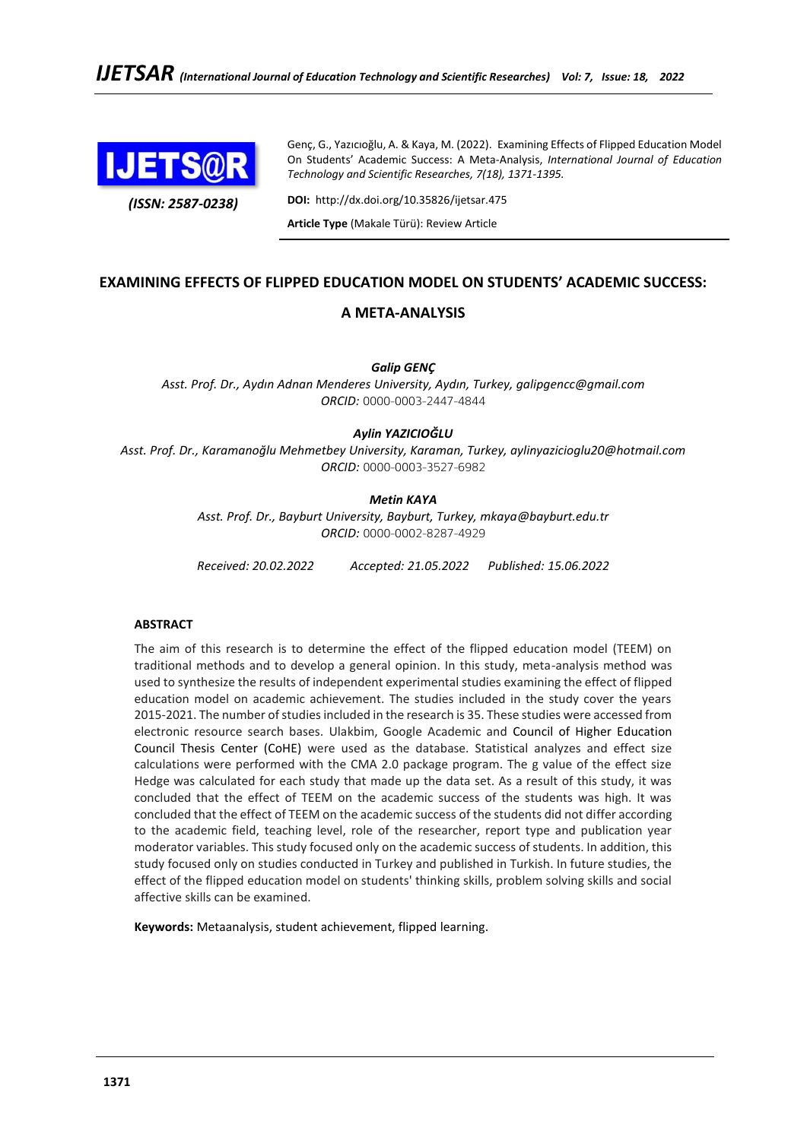

*(ISSN: 2587-0238)*

Genç, G., Yazıcıoğlu, A. & Kaya, M. (2022). Examining Effects of Flipped Education Model On Students' Academic Success: A Meta-Analysis, *International Journal of Education Technology and Scientific Researches, 7(18), 1371-1395.*

**DOI:** http://dx.doi.org/10.35826/ijetsar.475

**Article Type** (Makale Türü): Review Article

# **EXAMINING EFFECTS OF FLIPPED EDUCATION MODEL ON STUDENTS' ACADEMIC SUCCESS:**

## **A META-ANALYSIS**

*Galip GENÇ*

*Asst. Prof. Dr., Aydın Adnan Menderes University, Aydın, Turkey, galipgencc@gmail.com ORCID:* 0000-0003-2447-4844

## *Aylin YAZICIOĞLU*

*Asst. Prof. Dr., Karamanoğlu Mehmetbey University, Karaman, Turkey, aylinyazicioglu20@hotmail.com ORCID:* 0000-0003-3527-6982

## *Metin KAYA*

*Asst. Prof. Dr., Bayburt University, Bayburt, Turkey, mkaya@bayburt.edu.tr ORCID:* 0000-0002-8287-4929

*Received: 20.02.2022 Accepted: 21.05.2022 Published: 15.06.2022*

## **ABSTRACT**

The aim of this research is to determine the effect of the flipped education model (TEEM) on traditional methods and to develop a general opinion. In this study, meta-analysis method was used to synthesize the results of independent experimental studies examining the effect of flipped education model on academic achievement. The studies included in the study cover the years 2015-2021. The number of studies included in the research is 35. These studies were accessed from electronic resource search bases. Ulakbim, Google Academic and Council of Higher Education Council Thesis Center (CoHE) were used as the database. Statistical analyzes and effect size calculations were performed with the CMA 2.0 package program. The g value of the effect size Hedge was calculated for each study that made up the data set. As a result of this study, it was concluded that the effect of TEEM on the academic success of the students was high. It was concluded that the effect of TEEM on the academic success of the students did not differ according to the academic field, teaching level, role of the researcher, report type and publication year moderator variables. This study focused only on the academic success of students. In addition, this study focused only on studies conducted in Turkey and published in Turkish. In future studies, the effect of the flipped education model on students' thinking skills, problem solving skills and social affective skills can be examined.

**Keywords:** Metaanalysis, student achievement, flipped learning.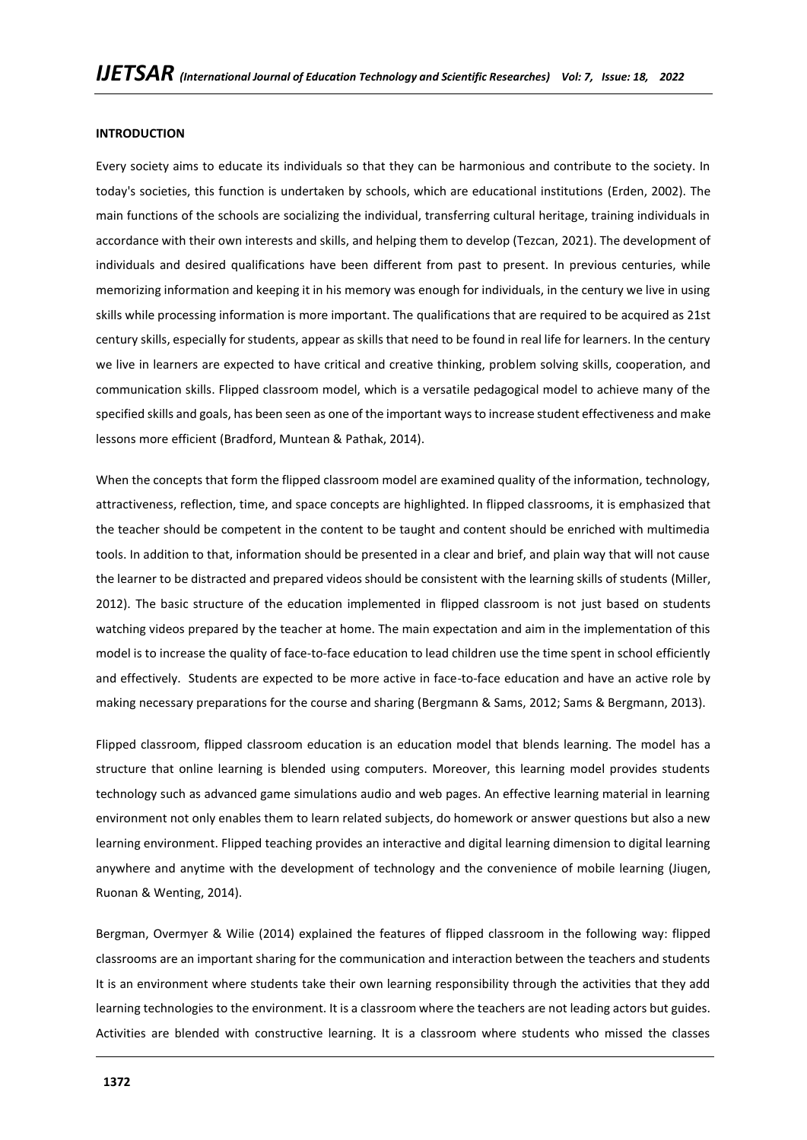## **INTRODUCTION**

Every society aims to educate its individuals so that they can be harmonious and contribute to the society. In today's societies, this function is undertaken by schools, which are educational institutions (Erden, 2002). The main functions of the schools are socializing the individual, transferring cultural heritage, training individuals in accordance with their own interests and skills, and helping them to develop (Tezcan, 2021). The development of individuals and desired qualifications have been different from past to present. In previous centuries, while memorizing information and keeping it in his memory was enough for individuals, in the century we live in using skills while processing information is more important. The qualifications that are required to be acquired as 21st century skills, especially for students, appear as skills that need to be found in real life for learners. In the century we live in learners are expected to have critical and creative thinking, problem solving skills, cooperation, and communication skills. Flipped classroom model, which is a versatile pedagogical model to achieve many of the specified skills and goals, has been seen as one of the important ways to increase student effectiveness and make lessons more efficient (Bradford, Muntean & Pathak, 2014).

When the concepts that form the flipped classroom model are examined quality of the information, technology, attractiveness, reflection, time, and space concepts are highlighted. In flipped classrooms, it is emphasized that the teacher should be competent in the content to be taught and content should be enriched with multimedia tools. In addition to that, information should be presented in a clear and brief, and plain way that will not cause the learner to be distracted and prepared videos should be consistent with the learning skills of students (Miller, 2012). The basic structure of the education implemented in flipped classroom is not just based on students watching videos prepared by the teacher at home. The main expectation and aim in the implementation of this model is to increase the quality of face-to-face education to lead children use the time spent in school efficiently and effectively. Students are expected to be more active in face-to-face education and have an active role by making necessary preparations for the course and sharing (Bergmann & Sams, 2012; Sams & Bergmann, 2013).

Flipped classroom, flipped classroom education is an education model that blends learning. The model has a structure that online learning is blended using computers. Moreover, this learning model provides students technology such as advanced game simulations audio and web pages. An effective learning material in learning environment not only enables them to learn related subjects, do homework or answer questions but also a new learning environment. Flipped teaching provides an interactive and digital learning dimension to digital learning anywhere and anytime with the development of technology and the convenience of mobile learning (Jiugen, Ruonan & Wenting, 2014).

Bergman, Overmyer & Wilie (2014) explained the features of flipped classroom in the following way: flipped classrooms are an important sharing for the communication and interaction between the teachers and students It is an environment where students take their own learning responsibility through the activities that they add learning technologies to the environment. It is a classroom where the teachers are not leading actors but guides. Activities are blended with constructive learning. It is a classroom where students who missed the classes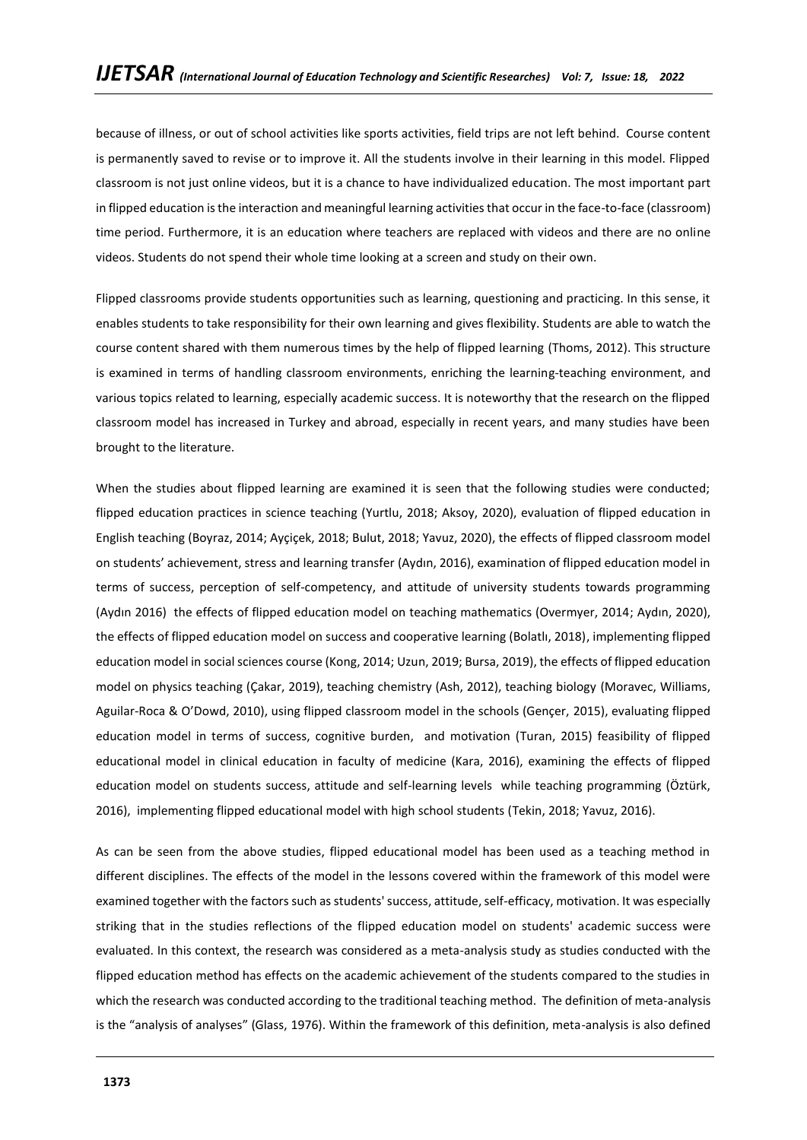because of illness, or out of school activities like sports activities, field trips are not left behind. Course content is permanently saved to revise or to improve it. All the students involve in their learning in this model. Flipped classroom is not just online videos, but it is a chance to have individualized education. The most important part in flipped education is the interaction and meaningful learning activities that occur in the face-to-face (classroom) time period. Furthermore, it is an education where teachers are replaced with videos and there are no online videos. Students do not spend their whole time looking at a screen and study on their own.

Flipped classrooms provide students opportunities such as learning, questioning and practicing. In this sense, it enables students to take responsibility for their own learning and gives flexibility. Students are able to watch the course content shared with them numerous times by the help of flipped learning (Thoms, 2012). This structure is examined in terms of handling classroom environments, enriching the learning-teaching environment, and various topics related to learning, especially academic success. It is noteworthy that the research on the flipped classroom model has increased in Turkey and abroad, especially in recent years, and many studies have been brought to the literature.

When the studies about flipped learning are examined it is seen that the following studies were conducted; flipped education practices in science teaching (Yurtlu, 2018; Aksoy, 2020), evaluation of flipped education in English teaching (Boyraz, 2014; Ayçiçek, 2018; Bulut, 2018; Yavuz, 2020), the effects of flipped classroom model on students' achievement, stress and learning transfer (Aydın, 2016), examination of flipped education model in terms of success, perception of self-competency, and attitude of university students towards programming (Aydın 2016) the effects of flipped education model on teaching mathematics (Overmyer, 2014; Aydın, 2020), the effects of flipped education model on success and cooperative learning (Bolatlı, 2018), implementing flipped education model in social sciences course (Kong, 2014; Uzun, 2019; Bursa, 2019), the effects of flipped education model on physics teaching (Çakar, 2019), teaching chemistry (Ash, 2012), teaching biology (Moravec, Williams, Aguilar-Roca & O'Dowd, 2010), using flipped classroom model in the schools (Gençer, 2015), evaluating flipped education model in terms of success, cognitive burden, and motivation (Turan, 2015) feasibility of flipped educational model in clinical education in faculty of medicine (Kara, 2016), examining the effects of flipped education model on students success, attitude and self-learning levels while teaching programming (Öztürk, 2016), implementing flipped educational model with high school students (Tekin, 2018; Yavuz, 2016).

As can be seen from the above studies, flipped educational model has been used as a teaching method in different disciplines. The effects of the model in the lessons covered within the framework of this model were examined together with the factors such as students' success, attitude, self-efficacy, motivation. It was especially striking that in the studies reflections of the flipped education model on students' academic success were evaluated. In this context, the research was considered as a meta-analysis study as studies conducted with the flipped education method has effects on the academic achievement of the students compared to the studies in which the research was conducted according to the traditional teaching method. The definition of meta-analysis is the "analysis of analyses" (Glass, 1976). Within the framework of this definition, meta-analysis is also defined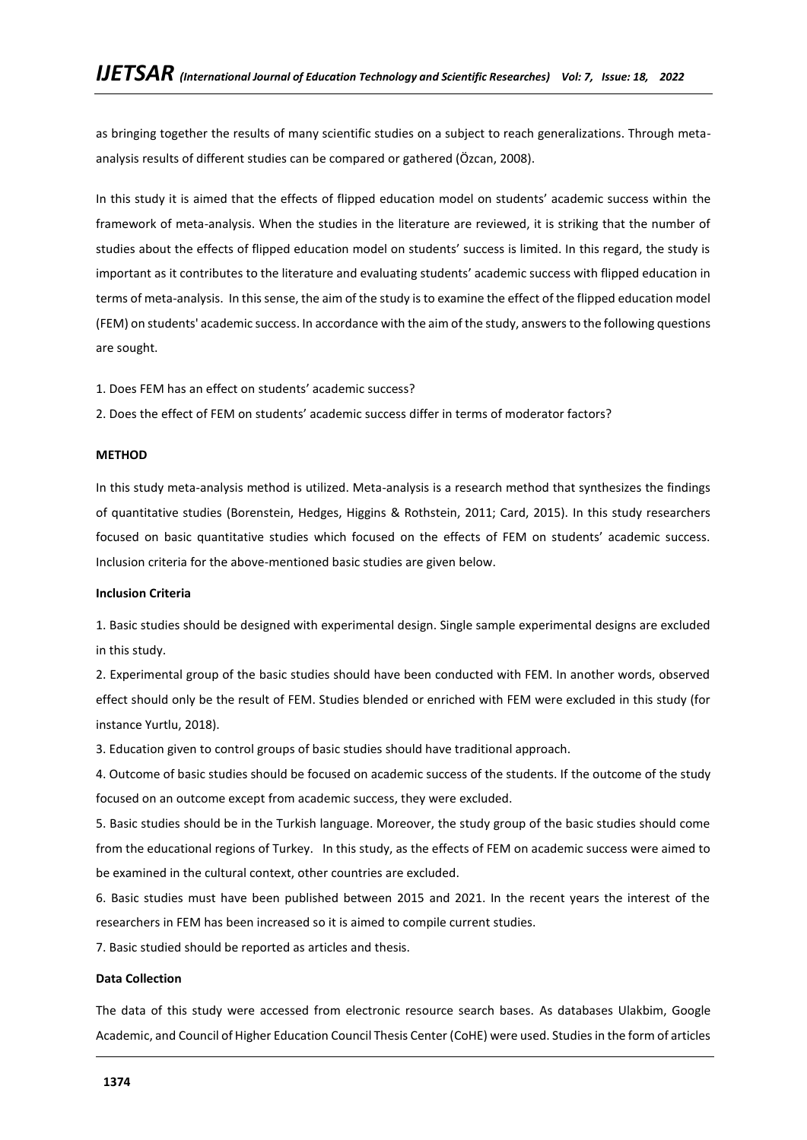as bringing together the results of many scientific studies on a subject to reach generalizations. Through metaanalysis results of different studies can be compared or gathered (Özcan, 2008).

In this study it is aimed that the effects of flipped education model on students' academic success within the framework of meta-analysis. When the studies in the literature are reviewed, it is striking that the number of studies about the effects of flipped education model on students' success is limited. In this regard, the study is important as it contributes to the literature and evaluating students' academic success with flipped education in terms of meta-analysis. In this sense, the aim of the study is to examine the effect of the flipped education model (FEM) on students' academic success. In accordance with the aim of the study, answers to the following questions are sought.

- 1. Does FEM has an effect on students' academic success?
- 2. Does the effect of FEM on students' academic success differ in terms of moderator factors?

#### **METHOD**

In this study meta-analysis method is utilized. Meta-analysis is a research method that synthesizes the findings of quantitative studies (Borenstein, Hedges, Higgins & Rothstein, 2011; Card, 2015). In this study researchers focused on basic quantitative studies which focused on the effects of FEM on students' academic success. Inclusion criteria for the above-mentioned basic studies are given below.

#### **Inclusion Criteria**

1. Basic studies should be designed with experimental design. Single sample experimental designs are excluded in this study.

2. Experimental group of the basic studies should have been conducted with FEM. In another words, observed effect should only be the result of FEM. Studies blended or enriched with FEM were excluded in this study (for instance Yurtlu, 2018).

3. Education given to control groups of basic studies should have traditional approach.

4. Outcome of basic studies should be focused on academic success of the students. If the outcome of the study focused on an outcome except from academic success, they were excluded.

5. Basic studies should be in the Turkish language. Moreover, the study group of the basic studies should come from the educational regions of Turkey. In this study, as the effects of FEM on academic success were aimed to be examined in the cultural context, other countries are excluded.

6. Basic studies must have been published between 2015 and 2021. In the recent years the interest of the researchers in FEM has been increased so it is aimed to compile current studies.

7. Basic studied should be reported as articles and thesis.

## **Data Collection**

The data of this study were accessed from electronic resource search bases. As databases Ulakbim, Google Academic, and Council of Higher Education Council Thesis Center (CoHE) were used. Studies in the form of articles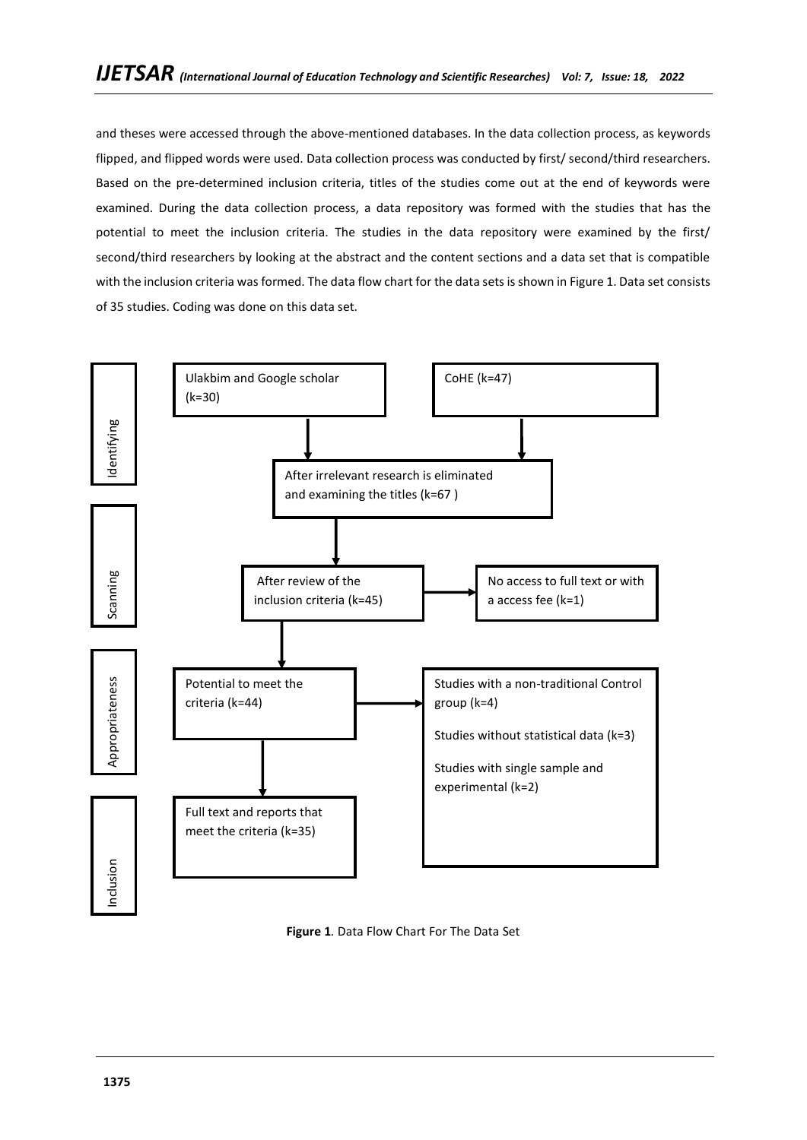and theses were accessed through the above-mentioned databases. In the data collection process, as keywords flipped, and flipped words were used. Data collection process was conducted by first/ second/third researchers. Based on the pre-determined inclusion criteria, titles of the studies come out at the end of keywords were examined. During the data collection process, a data repository was formed with the studies that has the potential to meet the inclusion criteria. The studies in the data repository were examined by the first/ second/third researchers by looking at the abstract and the content sections and a data set that is compatible with the inclusion criteria was formed. The data flow chart for the data sets is shown in Figure 1. Data set consists of 35 studies. Coding was done on this data set.



**Figure 1***.* Data Flow Chart For The Data Set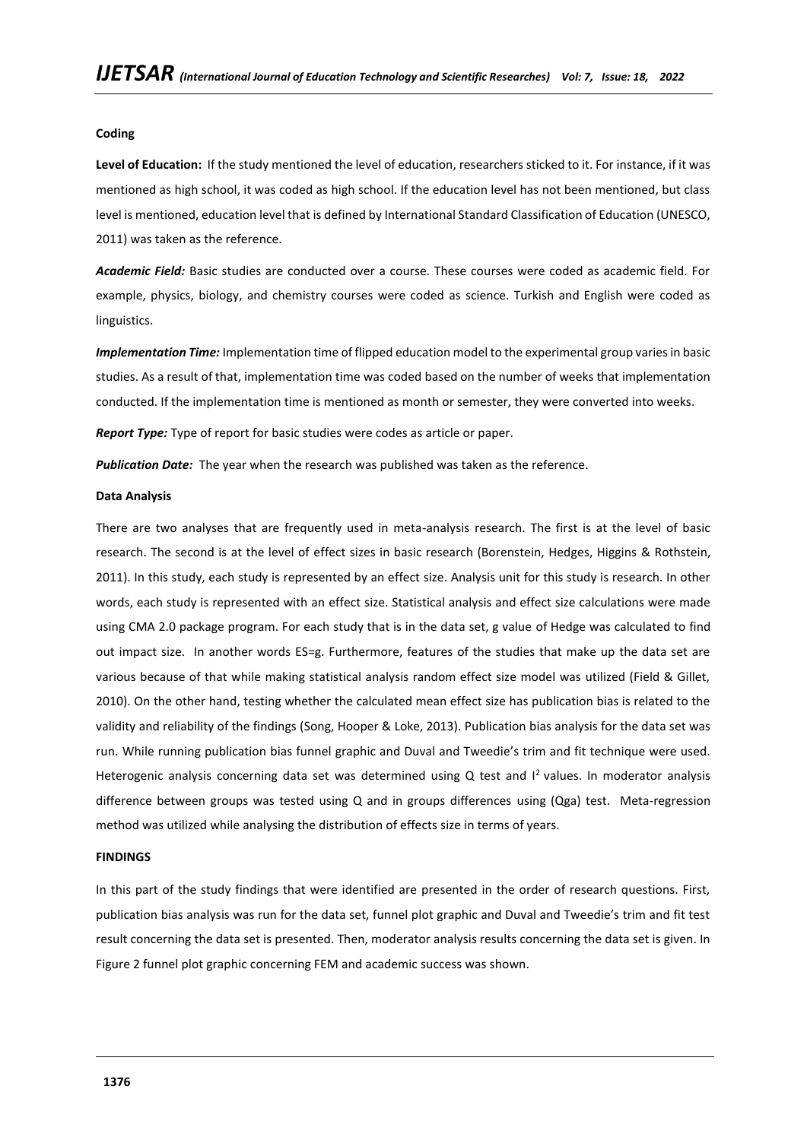#### **Coding**

**Level of Education:** If the study mentioned the level of education, researchers sticked to it. For instance, if it was mentioned as high school, it was coded as high school. If the education level has not been mentioned, but class level is mentioned, education level that is defined by International Standard Classification of Education (UNESCO, 2011) was taken as the reference.

*Academic Field:* Basic studies are conducted over a course. These courses were coded as academic field. For example, physics, biology, and chemistry courses were coded as science. Turkish and English were coded as linguistics.

*Implementation Time:* Implementation time of flipped education model to the experimental group varies in basic studies. As a result of that, implementation time was coded based on the number of weeks that implementation conducted. If the implementation time is mentioned as month or semester, they were converted into weeks.

*Report Type:* Type of report for basic studies were codes as article or paper.

*Publication Date:* The year when the research was published was taken as the reference.

#### **Data Analysis**

There are two analyses that are frequently used in meta-analysis research. The first is at the level of basic research. The second is at the level of effect sizes in basic research (Borenstein, Hedges, Higgins & Rothstein, 2011). In this study, each study is represented by an effect size. Analysis unit for this study is research. In other words, each study is represented with an effect size. Statistical analysis and effect size calculations were made using CMA 2.0 package program. For each study that is in the data set, g value of Hedge was calculated to find out impact size. In another words ES=g. Furthermore, features of the studies that make up the data set are various because of that while making statistical analysis random effect size model was utilized (Field & Gillet, 2010). On the other hand, testing whether the calculated mean effect size has publication bias is related to the validity and reliability of the findings (Song, Hooper & Loke, 2013). Publication bias analysis for the data set was run. While running publication bias funnel graphic and Duval and Tweedie's trim and fit technique were used. Heterogenic analysis concerning data set was determined using  $Q$  test and  $I<sup>2</sup>$  values. In moderator analysis difference between groups was tested using Q and in groups differences using (Qga) test. Meta-regression method was utilized while analysing the distribution of effects size in terms of years.

#### **FINDINGS**

In this part of the study findings that were identified are presented in the order of research questions. First, publication bias analysis was run for the data set, funnel plot graphic and Duval and Tweedie's trim and fit test result concerning the data set is presented. Then, moderator analysis results concerning the data set is given. In Figure 2 funnel plot graphic concerning FEM and academic success was shown.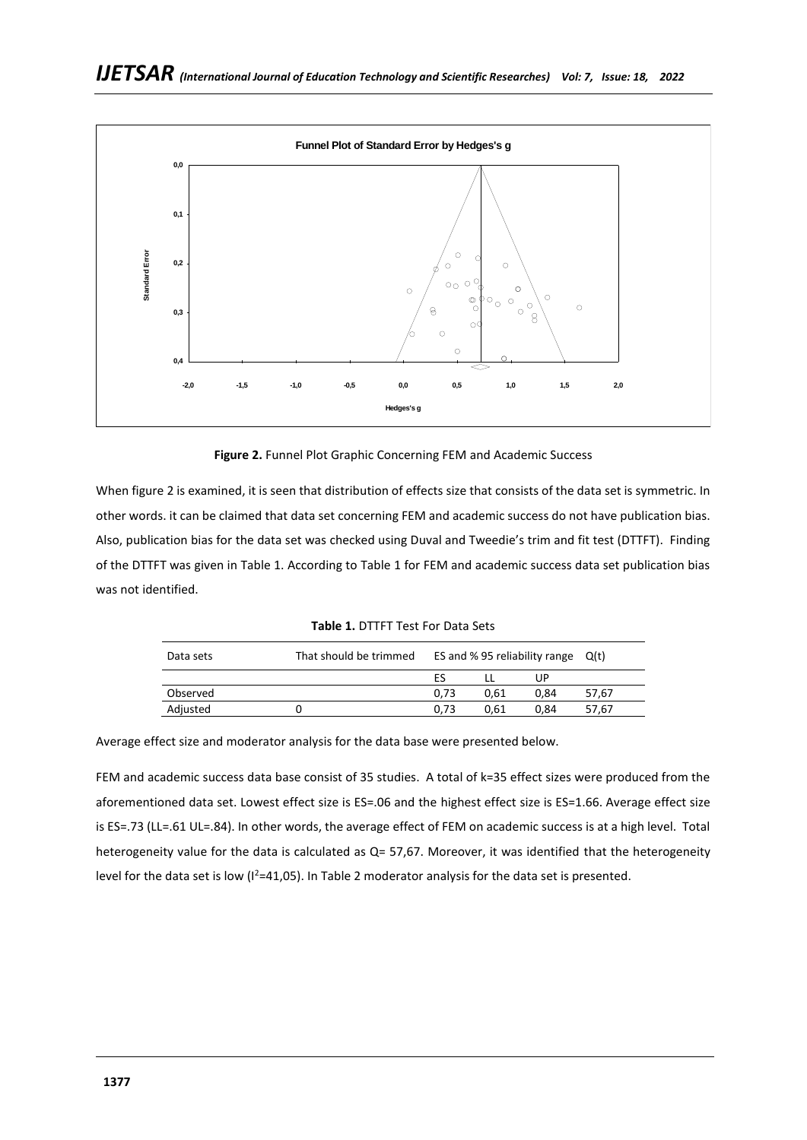

**Figure 2.** Funnel Plot Graphic Concerning FEM and Academic Success

When figure 2 is examined, it is seen that distribution of effects size that consists of the data set is symmetric. In other words. it can be claimed that data set concerning FEM and academic success do not have publication bias. Also, publication bias for the data set was checked using Duval and Tweedie's trim and fit test (DTTFT). Finding of the DTTFT was given in Table 1. According to Table 1 for FEM and academic success data set publication bias was not identified.

| <b>Table 1. DTTFT Test For Data Sets</b> |  |
|------------------------------------------|--|
|------------------------------------------|--|

| Data sets | That should be trimmed | ES and % 95 reliability range $Q(t)$ |      |      |       |
|-----------|------------------------|--------------------------------------|------|------|-------|
|           |                        | ES                                   |      | UP   |       |
| Observed  |                        | 0.73                                 | 0.61 | 0.84 | 57.67 |
| Adjusted  |                        | 0.73                                 | 0.61 | 0.84 | 57.67 |

Average effect size and moderator analysis for the data base were presented below.

FEM and academic success data base consist of 35 studies. A total of k=35 effect sizes were produced from the aforementioned data set. Lowest effect size is ES=.06 and the highest effect size is ES=1.66. Average effect size is ES=.73 (LL=.61 UL=.84). In other words, the average effect of FEM on academic success is at a high level. Total heterogeneity value for the data is calculated as Q= 57,67. Moreover, it was identified that the heterogeneity level for the data set is low ( $I^2=41,05$ ). In Table 2 moderator analysis for the data set is presented.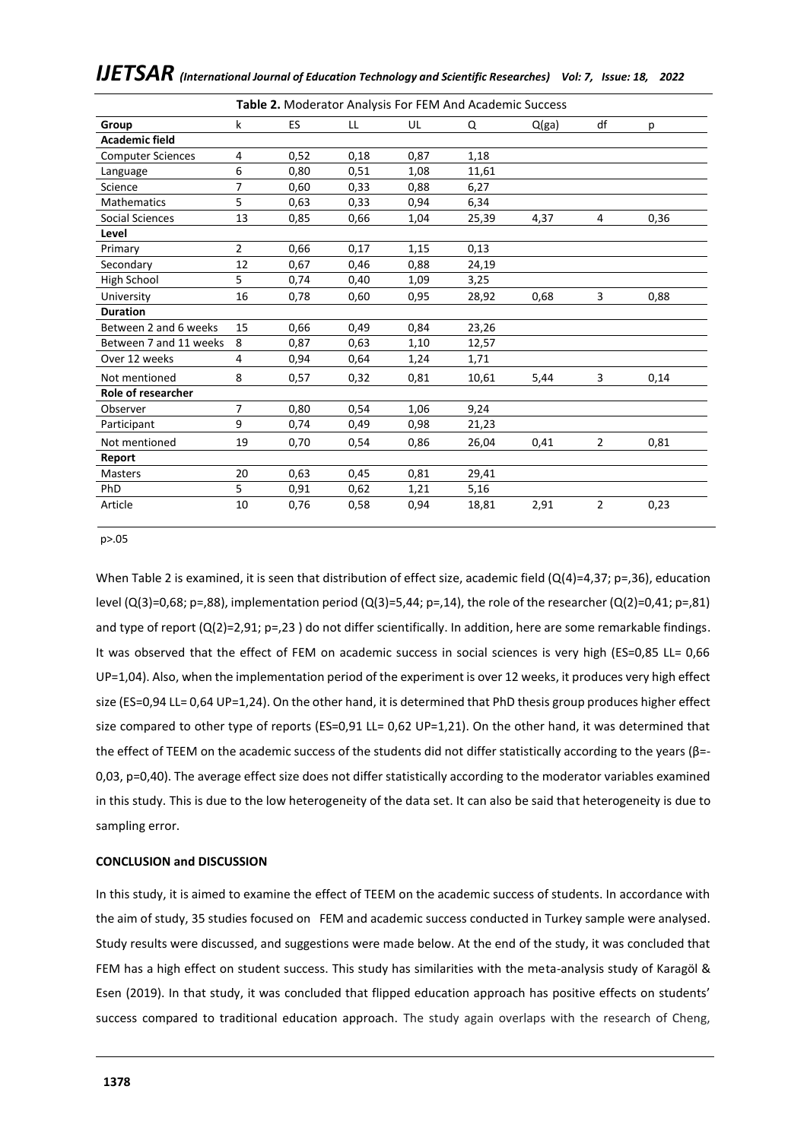| Table 2. Moderator Analysis For FEM And Academic Success |                |           |      |      |       |       |                |      |
|----------------------------------------------------------|----------------|-----------|------|------|-------|-------|----------------|------|
| Group                                                    | k              | <b>ES</b> | LL   | UL   | Q     | Q(ga) | df             | p    |
| <b>Academic field</b>                                    |                |           |      |      |       |       |                |      |
| <b>Computer Sciences</b>                                 | 4              | 0,52      | 0,18 | 0,87 | 1,18  |       |                |      |
| Language                                                 | 6              | 0,80      | 0,51 | 1,08 | 11,61 |       |                |      |
| Science                                                  | 7              | 0,60      | 0,33 | 0,88 | 6,27  |       |                |      |
| <b>Mathematics</b>                                       | 5              | 0,63      | 0,33 | 0,94 | 6,34  |       |                |      |
| Social Sciences                                          | 13             | 0,85      | 0,66 | 1,04 | 25,39 | 4,37  | 4              | 0,36 |
| Level                                                    |                |           |      |      |       |       |                |      |
| Primary                                                  | $\overline{2}$ | 0,66      | 0,17 | 1,15 | 0,13  |       |                |      |
| Secondary                                                | 12             | 0,67      | 0,46 | 0,88 | 24,19 |       |                |      |
| High School                                              | 5              | 0,74      | 0,40 | 1,09 | 3,25  |       |                |      |
| University                                               | 16             | 0,78      | 0,60 | 0,95 | 28,92 | 0,68  | 3              | 0,88 |
| <b>Duration</b>                                          |                |           |      |      |       |       |                |      |
| Between 2 and 6 weeks                                    | 15             | 0,66      | 0,49 | 0,84 | 23,26 |       |                |      |
| Between 7 and 11 weeks                                   | 8              | 0,87      | 0,63 | 1,10 | 12,57 |       |                |      |
| Over 12 weeks                                            | 4              | 0,94      | 0,64 | 1,24 | 1,71  |       |                |      |
| Not mentioned                                            | 8              | 0,57      | 0,32 | 0,81 | 10,61 | 5,44  | 3              | 0,14 |
| Role of researcher                                       |                |           |      |      |       |       |                |      |
| Observer                                                 | $\overline{7}$ | 0,80      | 0,54 | 1,06 | 9,24  |       |                |      |
| Participant                                              | 9              | 0,74      | 0,49 | 0,98 | 21,23 |       |                |      |
| Not mentioned                                            | 19             | 0,70      | 0,54 | 0,86 | 26,04 | 0,41  | $\overline{2}$ | 0,81 |
| Report                                                   |                |           |      |      |       |       |                |      |
| <b>Masters</b>                                           | 20             | 0,63      | 0,45 | 0,81 | 29,41 |       |                |      |
| PhD                                                      | 5              | 0,91      | 0,62 | 1,21 | 5,16  |       |                |      |
| Article                                                  | 10             | 0,76      | 0,58 | 0,94 | 18,81 | 2,91  | 2              | 0,23 |

*IJETSAR (International Journal of Education Technology and Scientific Researches) Vol: 7, Issue: 18, 2022* 

p>.05

When Table 2 is examined, it is seen that distribution of effect size, academic field (Q(4)=4,37; p=,36), education level (Q(3)=0,68; p=,88), implementation period (Q(3)=5,44; p=,14), the role of the researcher (Q(2)=0,41; p=,81) and type of report (Q(2)=2,91; p=,23) do not differ scientifically. In addition, here are some remarkable findings. It was observed that the effect of FEM on academic success in social sciences is very high (ES=0,85 LL= 0,66 UP=1,04). Also, when the implementation period of the experiment is over 12 weeks, it produces very high effect size (ES=0,94 LL= 0,64 UP=1,24). On the other hand, it is determined that PhD thesis group produces higher effect size compared to other type of reports (ES=0,91 LL= 0,62 UP=1,21). On the other hand, it was determined that the effect of TEEM on the academic success of the students did not differ statistically according to the years (β=- 0,03, p=0,40). The average effect size does not differ statistically according to the moderator variables examined in this study. This is due to the low heterogeneity of the data set. It can also be said that heterogeneity is due to sampling error.

## **CONCLUSION and DISCUSSION**

In this study, it is aimed to examine the effect of TEEM on the academic success of students. In accordance with the aim of study, 35 studies focused on FEM and academic success conducted in Turkey sample were analysed. Study results were discussed, and suggestions were made below. At the end of the study, it was concluded that FEM has a high effect on student success. This study has similarities with the meta-analysis study of Karagöl & Esen (2019). In that study, it was concluded that flipped education approach has positive effects on students' success compared to traditional education approach. The study again overlaps with the research of Cheng,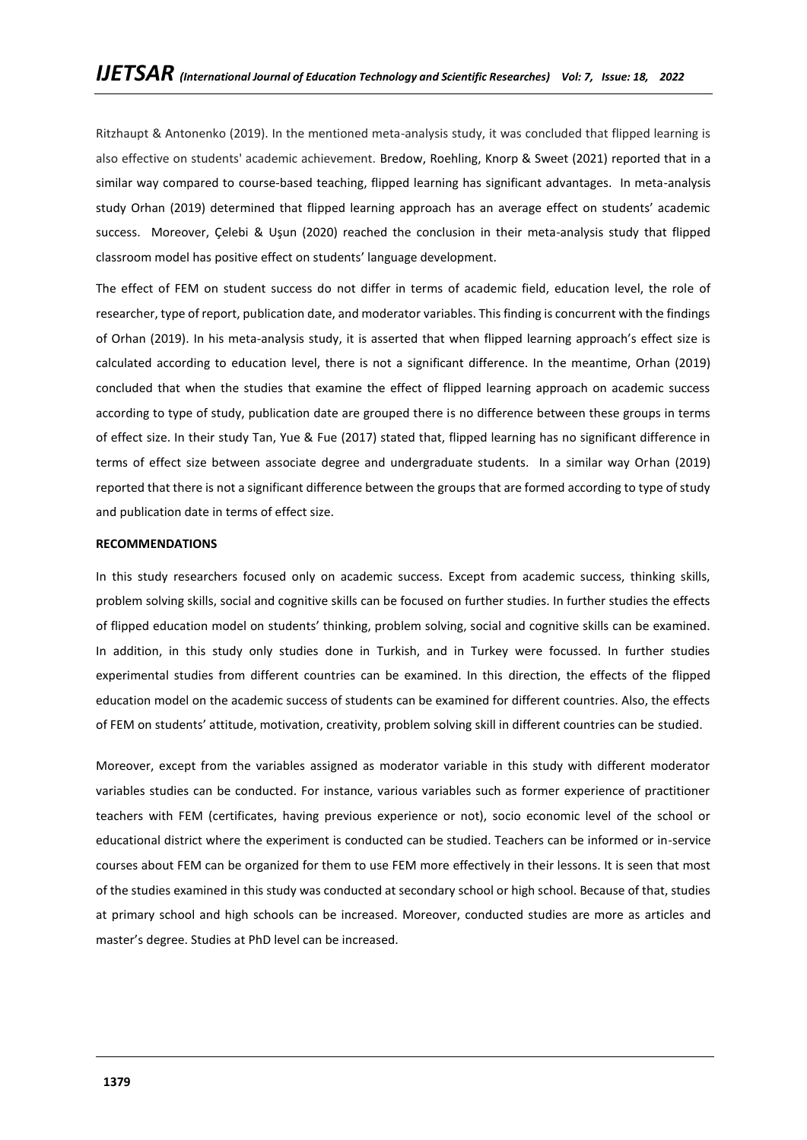Ritzhaupt & Antonenko (2019). In the mentioned meta-analysis study, it was concluded that flipped learning is also effective on students' academic achievement. Bredow, Roehling, Knorp & Sweet (2021) reported that in a similar way compared to course-based teaching, flipped learning has significant advantages. In meta-analysis study Orhan (2019) determined that flipped learning approach has an average effect on students' academic success. Moreover, Celebi & Usun (2020) reached the conclusion in their meta-analysis study that flipped classroom model has positive effect on students' language development.

The effect of FEM on student success do not differ in terms of academic field, education level, the role of researcher, type of report, publication date, and moderator variables. This finding is concurrent with the findings of Orhan (2019). In his meta-analysis study, it is asserted that when flipped learning approach's effect size is calculated according to education level, there is not a significant difference. In the meantime, Orhan (2019) concluded that when the studies that examine the effect of flipped learning approach on academic success according to type of study, publication date are grouped there is no difference between these groups in terms of effect size. In their study Tan, Yue & Fue (2017) stated that, flipped learning has no significant difference in terms of effect size between associate degree and undergraduate students. In a similar way Orhan (2019) reported that there is not a significant difference between the groups that are formed according to type of study and publication date in terms of effect size.

#### **RECOMMENDATIONS**

In this study researchers focused only on academic success. Except from academic success, thinking skills, problem solving skills, social and cognitive skills can be focused on further studies. In further studies the effects of flipped education model on students' thinking, problem solving, social and cognitive skills can be examined. In addition, in this study only studies done in Turkish, and in Turkey were focussed. In further studies experimental studies from different countries can be examined. In this direction, the effects of the flipped education model on the academic success of students can be examined for different countries. Also, the effects of FEM on students' attitude, motivation, creativity, problem solving skill in different countries can be studied.

Moreover, except from the variables assigned as moderator variable in this study with different moderator variables studies can be conducted. For instance, various variables such as former experience of practitioner teachers with FEM (certificates, having previous experience or not), socio economic level of the school or educational district where the experiment is conducted can be studied. Teachers can be informed or in-service courses about FEM can be organized for them to use FEM more effectively in their lessons. It is seen that most of the studies examined in this study was conducted at secondary school or high school. Because of that, studies at primary school and high schools can be increased. Moreover, conducted studies are more as articles and master's degree. Studies at PhD level can be increased.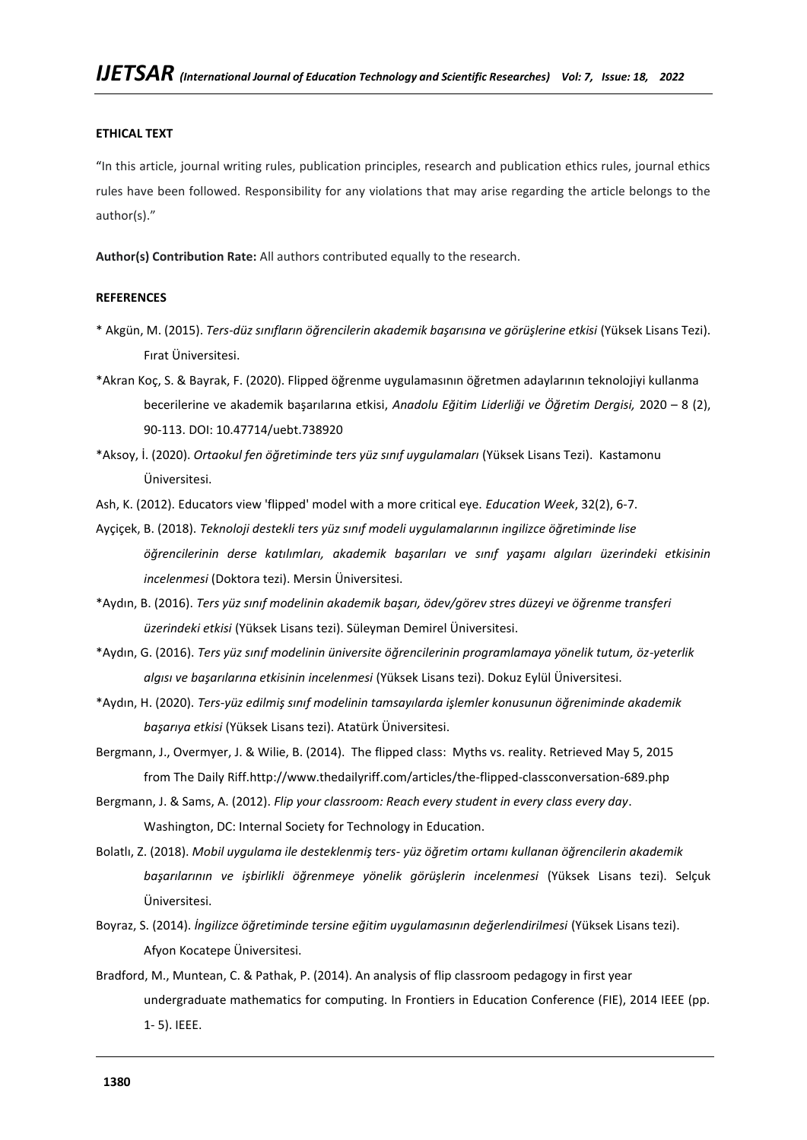#### **ETHICAL TEXT**

"In this article, journal writing rules, publication principles, research and publication ethics rules, journal ethics rules have been followed. Responsibility for any violations that may arise regarding the article belongs to the author(s)."

**Author(s) Contribution Rate:** All authors contributed equally to the research.

## **REFERENCES**

- \* Akgün, M. (2015). *Ters-düz sınıfların öğrencilerin akademik başarısına ve görüşlerine etkisi* (Yüksek Lisans Tezi). Fırat Üniversitesi.
- \*Akran Koç, S. & Bayrak, F. (2020). Flipped öğrenme uygulamasının öğretmen adaylarının teknolojiyi kullanma becerilerine ve akademik başarılarına etkisi, *Anadolu Eğitim Liderliği ve Öğretim Dergisi,* 2020 – 8 (2), 90-113. DOI: 10.47714/uebt.738920

\*Aksoy, İ. (2020). *Ortaokul fen öğretiminde ters yüz sınıf uygulamaları* (Yüksek Lisans Tezi). Kastamonu Üniversitesi.

Ash, K. (2012). Educators view 'flipped' model with a more critical eye. *Education Week*, 32(2), 6-7.

Ayçiçek, B. (2018). *Teknoloji destekli ters yüz sınıf modeli uygulamalarının ingilizce öğretiminde lise öğrencilerinin derse katılımları, akademik başarıları ve sınıf yaşamı algıları üzerindeki etkisinin incelenmesi* (Doktora tezi). Mersin Üniversitesi.

\*Aydın, B. (2016). *Ters yüz sınıf modelinin akademik başarı, ödev/görev stres düzeyi ve öğrenme transferi üzerindeki etkisi* (Yüksek Lisans tezi). Süleyman Demirel Üniversitesi.

\*Aydın, G. (2016). *Ters yüz sınıf modelinin üniversite öğrencilerinin programlamaya yönelik tutum, öz-yeterlik algısı ve başarılarına etkisinin incelenmesi* (Yüksek Lisans tezi). Dokuz Eylül Üniversitesi.

\*Aydın, H. (2020). *Ters-yüz edilmiş sınıf modelinin tamsayılarda işlemler konusunun öğreniminde akademik başarıya etkisi* (Yüksek Lisans tezi). Atatürk Üniversitesi.

Bergmann, J., Overmyer, J. & Wilie, B. (2014). The flipped class: Myths vs. reality. Retrieved May 5, 2015 from The Daily Riff[.http://www.thedailyriff.com/articles/the-flipped-classconversation-689.php](http://www.thedailyriff.com/articles/the-flipped-classconversation-689.php)

- Bergmann, J. & Sams, A. (2012). *Flip your classroom: Reach every student in every class every day*. Washington, DC: Internal Society for Technology in Education.
- Bolatlı, Z. (2018). *Mobil uygulama ile desteklenmiş ters- yüz öğretim ortamı kullanan öğrencilerin akademik başarılarının ve işbirlikli öğrenmeye yönelik görüşlerin incelenmesi* (Yüksek Lisans tezi). Selçuk Üniversitesi.
- Boyraz, S. (2014). *İngilizce öğretiminde tersine eğitim uygulamasının değerlendirilmesi* (Yüksek Lisans tezi). Afyon Kocatepe Üniversitesi.
- Bradford, M., Muntean, C. & Pathak, P. (2014). An analysis of flip classroom pedagogy in first year undergraduate mathematics for computing. In Frontiers in Education Conference (FIE), 2014 IEEE (pp. 1- 5). IEEE.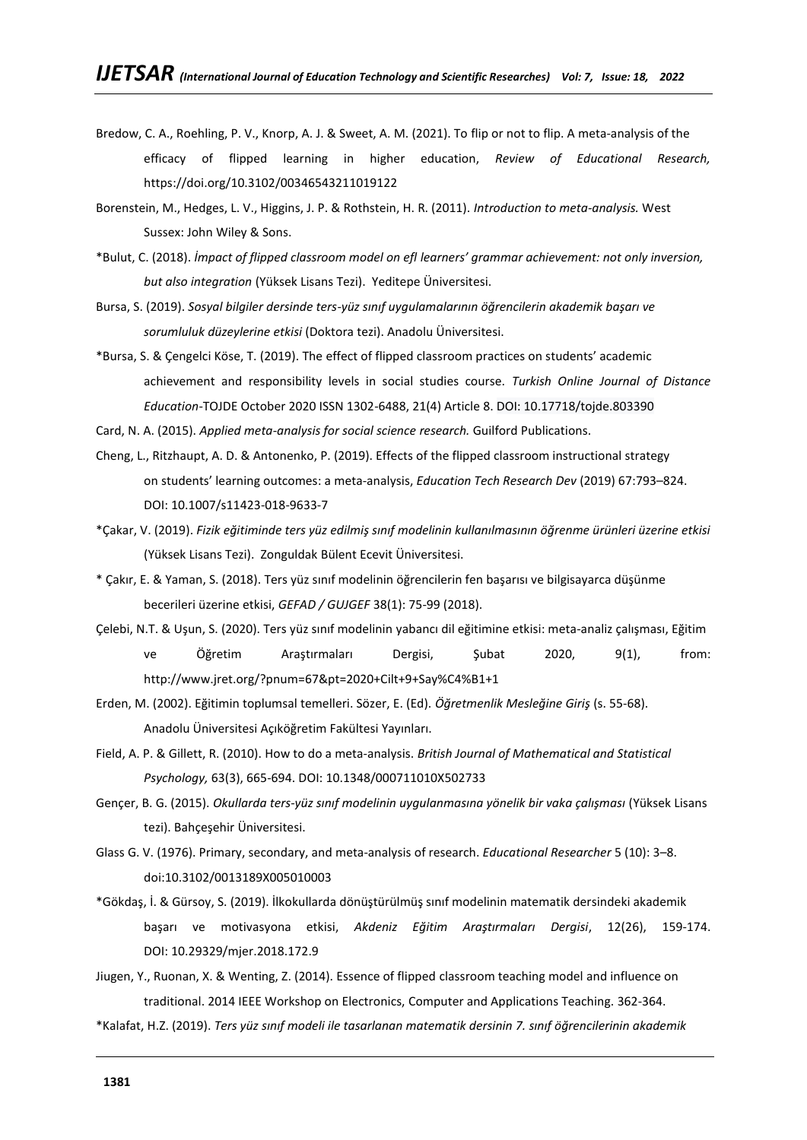- Bredow, C. A., Roehling, P. V., Knorp, A. J. & Sweet, A. M. (2021). To flip or not to flip. A meta-analysis of the efficacy of flipped learning in higher education, *Review of Educational Research,*  <https://doi.org/10.3102/00346543211019122>
- Borenstein, M., Hedges, L. V., Higgins, J. P. & Rothstein, H. R. (2011). *Introduction to meta-analysis.* West Sussex: John Wiley & Sons.
- \*Bulut, C. (2018). *İmpact of flipped classroom model on efl learners' grammar achievement: not only inversion, but also integration* (Yüksek Lisans Tezi). Yeditepe Üniversitesi.
- Bursa, S. (2019). *Sosyal bilgiler dersinde ters-yüz sınıf uygulamalarının öğrencilerin akademik başarı ve sorumluluk düzeylerine etkisi* (Doktora tezi). Anadolu Üniversitesi.
- \*Bursa, S. & Çengelci Köse, T. (2019). The effect of flipped classroom practices on students' academic achievement and responsibility levels in social studies course. *Turkish Online Journal of Distance Education*-TOJDE October 2020 ISSN 1302-6488, 21(4) Article 8. DOI: 10.17718/tojde.803390
- Card, N. A. (2015). *Applied meta-analysis for social science research.* Guilford Publications.
- Cheng, L., Ritzhaupt, A. D. & Antonenko, P. (2019). Effects of the flipped classroom instructional strategy on students' learning outcomes: a meta-analysis, *Education Tech Research Dev* (2019) 67:793–824. DOI: [10.1007/s11423-018-9633-7](http://dx.doi.org/10.1007/s11423-018-9633-7)
- \*Çakar, V. (2019). *Fizik eğitiminde ters yüz edilmiş sınıf modelinin kullanılmasının öğrenme ürünleri üzerine etkisi* (Yüksek Lisans Tezi). Zonguldak Bülent Ecevit Üniversitesi.
- \* Çakır, E. & Yaman, S. (2018). Ters yüz sınıf modelinin öğrencilerin fen başarısı ve bilgisayarca düşünme becerileri üzerine etkisi, *GEFAD / GUJGEF* 38(1): 75-99 (2018).
- Çelebi, N.T. & Uşun, S. (2020). Ters yüz sınıf modelinin yabancı dil eğitimine etkisi: meta-analiz çalışması, Eğitim ve Öğretim Araştırmaları Dergisi, Şubat 2020, 9(1), from: http://www.jret.org/?pnum=67&pt=2020+Cilt+9+Say%C4%B1+1
- Erden, M. (2002). Eğitimin toplumsal temelleri. Sözer, E. (Ed). *Öğretmenlik Mesleğine Giriş* (s. 55-68). Anadolu Üniversitesi Açıköğretim Fakültesi Yayınları.
- Field, A. P. & Gillett, R. (2010). How to do a meta‐analysis. *British Journal of Mathematical and Statistical Psychology,* 63(3), 665-694. DOI: [10.1348/000711010X502733](https://doi.org/10.1348/000711010x502733)
- Gençer, B. G. (2015). *Okullarda ters-yüz sınıf modelinin uygulanmasına yönelik bir vaka çalışması* (Yüksek Lisans tezi). Bahçeşehir Üniversitesi.
- Glass G. V. (1976). Primary, secondary, and meta-analysis of research. *Educational Researcher* 5 (10): 3–8. doi:10.3102/0013189X005010003
- \*Gökdaş, İ. & Gürsoy, S. (2019). İlkokullarda dönüştürülmüş sınıf modelinin matematik dersindeki akademik başarı ve motivasyona etkisi, *Akdeniz Eğitim Araştırmaları Dergisi*, 12(26), 159-174. DOI: [10.29329/mjer.2018.172.9](http://dx.doi.org/10.29329/mjer.2018.172.9)
- Jiugen, Y., Ruonan, X. & Wenting, Z. (2014). Essence of flipped classroom teaching model and influence on traditional. 2014 IEEE Workshop on Electronics, Computer and Applications Teaching. 362-364.
- \*Kalafat, H.Z. (2019). *Ters yüz sınıf modeli ile tasarlanan matematik dersinin 7. sınıf öğrencilerinin akademik*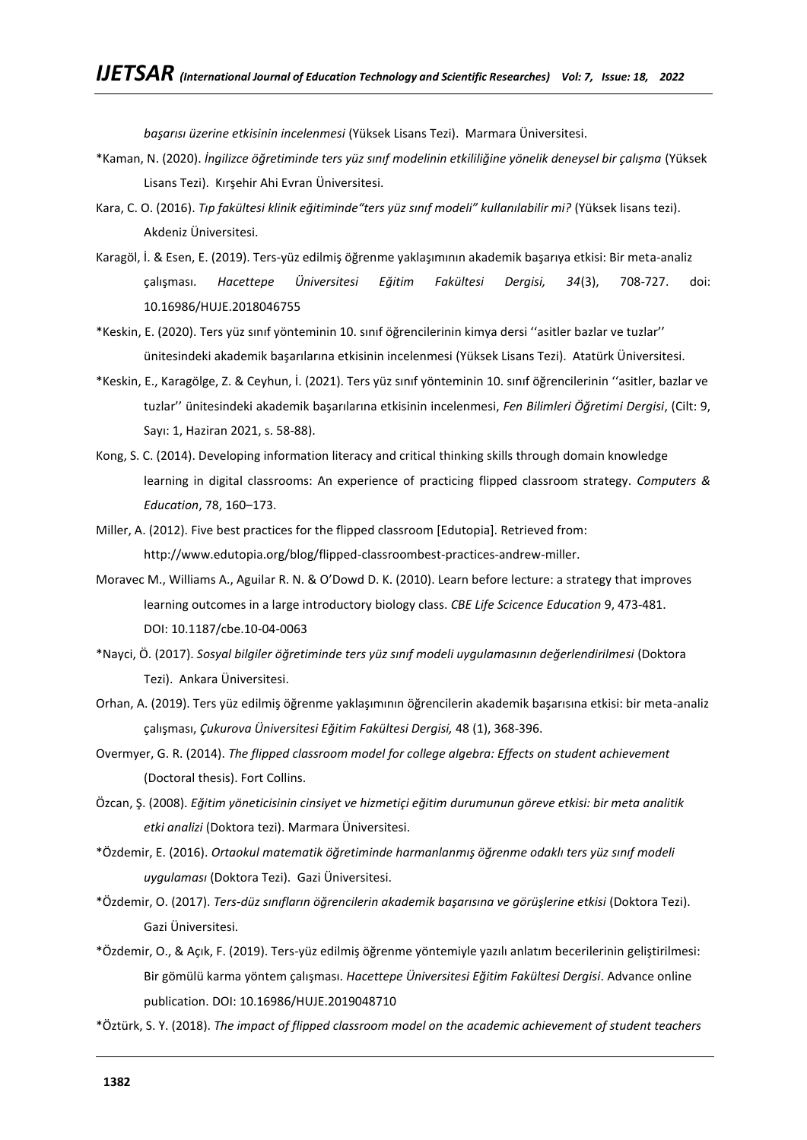*başarısı üzerine etkisinin incelenmesi* (Yüksek Lisans Tezi). Marmara Üniversitesi.

- \*Kaman, N. (2020). *İngilizce öğretiminde ters yüz sınıf modelinin etkililiğine yönelik deneysel bir çalışma* (Yüksek Lisans Tezi). Kırşehir Ahi Evran Üniversitesi.
- Kara, C. O. (2016). *Tıp fakültesi klinik eğitiminde"ters yüz sınıf modeli" kullanılabilir mi?* (Yüksek lisans tezi). Akdeniz Üniversitesi.
- Karagöl, İ. & Esen, E. (2019). Ters-yüz edilmiş öğrenme yaklaşımının akademik başarıya etkisi: Bir meta-analiz çalışması. *Hacettepe Üniversitesi Eğitim Fakültesi Dergisi, 34*(3), 708-727. doi: 10.16986/HUJE.2018046755
- \*Keskin, E. (2020). Ters yüz sınıf yönteminin 10. sınıf öğrencilerinin kimya dersi ''asitler bazlar ve tuzlar'' ünitesindeki akademik başarılarına etkisinin incelenmesi (Yüksek Lisans Tezi). Atatürk Üniversitesi.
- \*Keskin, E., Karagölge, Z. & Ceyhun, İ. (2021). Ters yüz sınıf yönteminin 10. sınıf öğrencilerinin ''asitler, bazlar ve tuzlar'' ünitesindeki akademik başarılarına etkisinin incelenmesi, *Fen Bilimleri Öğretimi Dergisi*, (Cilt: 9, Sayı: 1, Haziran 2021, s. 58-88).
- Kong, S. C. (2014). Developing information literacy and critical thinking skills through domain knowledge learning in digital classrooms: An experience of practicing flipped classroom strategy. *Computers & Education*, 78, 160–173.
- Miller, A. (2012). Five best practices for the flipped classroom [Edutopia]. Retrieved from: [http://www.edutopia.org/blog/flipped-classroombest-practices-andrew-miller.](http://www.edutopia.org/blog/flipped-classroombest-practices-andrew-miller)
- Moravec M., Williams A., Aguilar R. N. & O'Dowd D. K. (2010). Learn before lecture: a strategy that improves learning outcomes in a large introductory biology class. *CBE Life Scicence Education* 9, 473-481. DOI: [10.1187/cbe.10-04-0063](https://doi.org/10.1187/cbe.10-04-0063)
- \*Nayci, Ö. (2017). *Sosyal bilgiler öğretiminde ters yüz sınıf modeli uygulamasının değerlendirilmesi* (Doktora Tezi). Ankara Üniversitesi.
- Orhan, A. (2019). Ters yüz edilmiş öğrenme yaklaşımının öğrencilerin akademik başarısına etkisi: bir meta-analiz çalışması, *Çukurova Üniversitesi Eğitim Fakültesi Dergisi,* 48 (1), 368-396.
- Overmyer, G. R. (2014). *The flipped classroom model for college algebra: Effects on student achievement*  (Doctoral thesis). Fort Collins.
- Özcan, Ş. (2008). *Eğitim yöneticisinin cinsiyet ve hizmetiçi eğitim durumunun göreve etkisi: bir meta analitik etki analizi* (Doktora tezi). Marmara Üniversitesi.
- \*Özdemir, E. (2016). *Ortaokul matematik öğretiminde harmanlanmış öğrenme odaklı ters yüz sınıf modeli uygulaması* (Doktora Tezi). Gazi Üniversitesi.
- \*Özdemir, O. (2017). *Ters-düz sınıfların öğrencilerin akademik başarısına ve görüşlerine etkisi* (Doktora Tezi). Gazi Üniversitesi.
- \*Özdemir, O., & Açık, F. (2019). Ters-yüz edilmiş öğrenme yöntemiyle yazılı anlatım becerilerinin geliştirilmesi: Bir gömülü karma yöntem çalışması. *Hacettepe Üniversitesi Eğitim Fakültesi Dergisi*. Advance online publication. DOI: 10.16986/HUJE.2019048710
- \*Öztürk, S. Y. (2018). *The impact of flipped classroom model on the academic achievement of student teachers*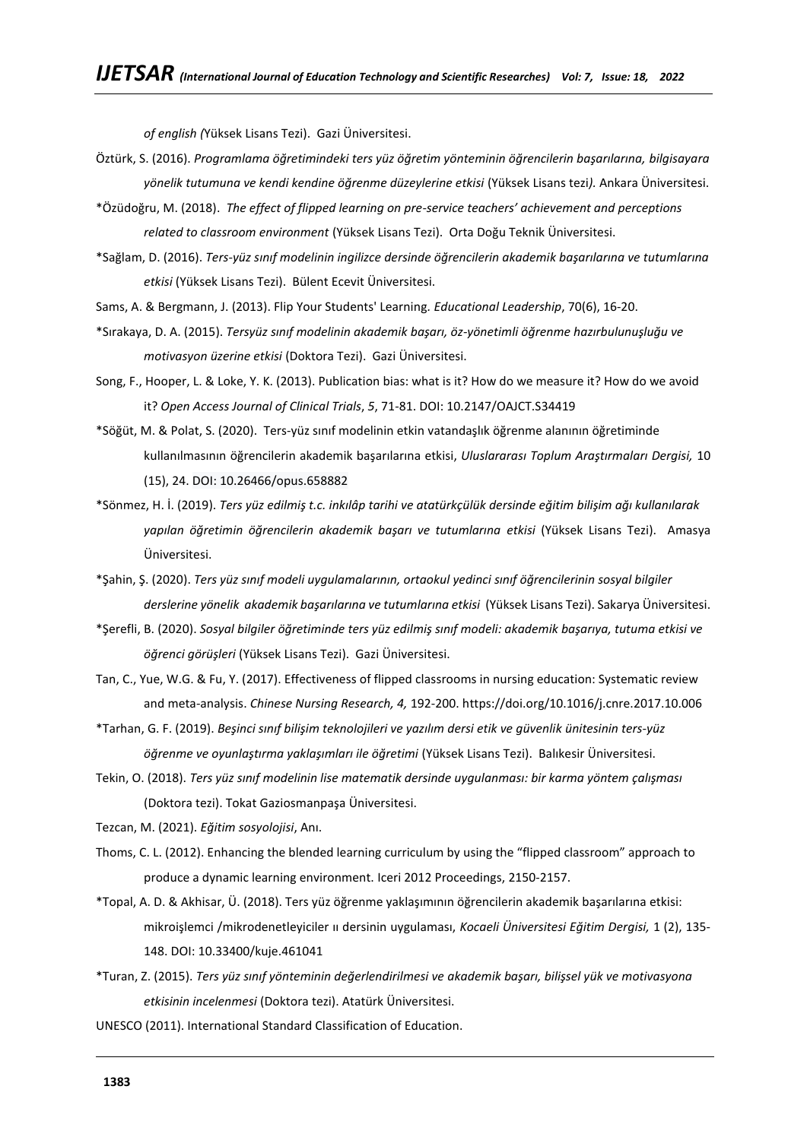*of english (*Yüksek Lisans Tezi). Gazi Üniversitesi.

- Öztürk, S. (2016). *Programlama öğretimindeki ters yüz öğretim yönteminin öğrencilerin başarılarına, bilgisayara yönelik tutumuna ve kendi kendine öğrenme düzeylerine etkisi* (Yüksek Lisans tezi*).* Ankara Üniversitesi.
- \*Özüdoğru, M. (2018). *The effect of flipped learning on pre-service teachers' achievement and perceptions related to classroom environment* (Yüksek Lisans Tezi). Orta Doğu Teknik Üniversitesi.
- \*Sağlam, D. (2016). *Ters-yüz sınıf modelinin ingilizce dersinde öğrencilerin akademik başarılarına ve tutumlarına etkisi* (Yüksek Lisans Tezi). Bülent Ecevit Üniversitesi.
- Sams, A. & Bergmann, J. (2013). Flip Your Students' Learning*. Educational Leadership*, 70(6), 16-20.
- \*Sırakaya, D. A. (2015). *Tersyüz sınıf modelinin akademik başarı, öz-yönetimli öğrenme hazırbulunuşluğu ve motivasyon üzerine etkisi* (Doktora Tezi). Gazi Üniversitesi.
- Song, F., Hooper, L. & Loke, Y. K. (2013). Publication bias: what is it? How do we measure it? How do we avoid it? *Open Access Journal of Clinical Trials*, *5*, 71-81. DOI: [10.2147/OAJCT.S34419](http://dx.doi.org/10.2147/OAJCT.S34419)
- \*Söğüt, M. & Polat, S. (2020). Ters-yüz sınıf modelinin etkin vatandaşlık öğrenme alanının öğretiminde kullanılmasının öğrencilerin akademik başarılarına etkisi, *Uluslararası Toplum Araştırmaları Dergisi,* 10 (15), 24. DOI: 10.26466/opus.658882
- \*Sönmez, H. İ. (2019). *Ters yüz edilmiş t.c. inkılâp tarihi ve atatürkçülük dersinde eğitim bilişim ağı kullanılarak yapılan öğretimin öğrencilerin akademik başarı ve tutumlarına etkisi* (Yüksek Lisans Tezi). Amasya Üniversitesi.
- \*Şahin, Ş. (2020). *Ters yüz sınıf modeli uygulamalarının, ortaokul yedinci sınıf öğrencilerinin sosyal bilgiler derslerine yönelik akademik başarılarına ve tutumlarına etkisi* (Yüksek Lisans Tezi). Sakarya Üniversitesi.
- \*Şerefli, B. (2020). *Sosyal bilgiler öğretiminde ters yüz edilmiş sınıf modeli: akademik başarıya, tutuma etkisi ve öğrenci görüşleri* (Yüksek Lisans Tezi). Gazi Üniversitesi.
- Tan, C., Yue, W.G. & Fu, Y. (2017). Effectiveness of flipped classrooms in nursing education: Systematic review and meta-analysis. *Chinese Nursing Research, 4,* 192-200.<https://doi.org/10.1016/j.cnre.2017.10.006>
- \*Tarhan, G. F. (2019). *Beşinci sınıf bilişim teknolojileri ve yazılım dersi etik ve güvenlik ünitesinin ters-yüz öğrenme ve oyunlaştırma yaklaşımları ile öğretimi* (Yüksek Lisans Tezi). Balıkesir Üniversitesi.
- Tekin, O. (2018). *Ters yüz sınıf modelinin lise matematik dersinde uygulanması: bir karma yöntem çalışması* (Doktora tezi). Tokat Gaziosmanpaşa Üniversitesi.
- Tezcan, M. (2021). *Eğitim sosyolojisi*, Anı.
- Thoms, C. L. (2012). Enhancing the blended learning curriculum by using the "flipped classroom" approach to produce a dynamic learning environment. Iceri 2012 Proceedings, 2150-2157.
- \*Topal, A. D. & Akhisar, Ü. (2018). Ters yüz öğrenme yaklaşımının öğrencilerin akademik başarılarına etkisi: mikroişlemci /mikrodenetleyiciler ıı dersinin uygulaması, *Kocaeli Üniversitesi Eğitim Dergisi,* 1 (2), 135- 148. DOI: 10.33400/kuje.461041
- \*Turan, Z. (2015). *Ters yüz sınıf yönteminin değerlendirilmesi ve akademik başarı, bilişsel yük ve motivasyona etkisinin incelenmesi* (Doktora tezi). Atatürk Üniversitesi.
- UNESCO (2011). International Standard Classification of Education.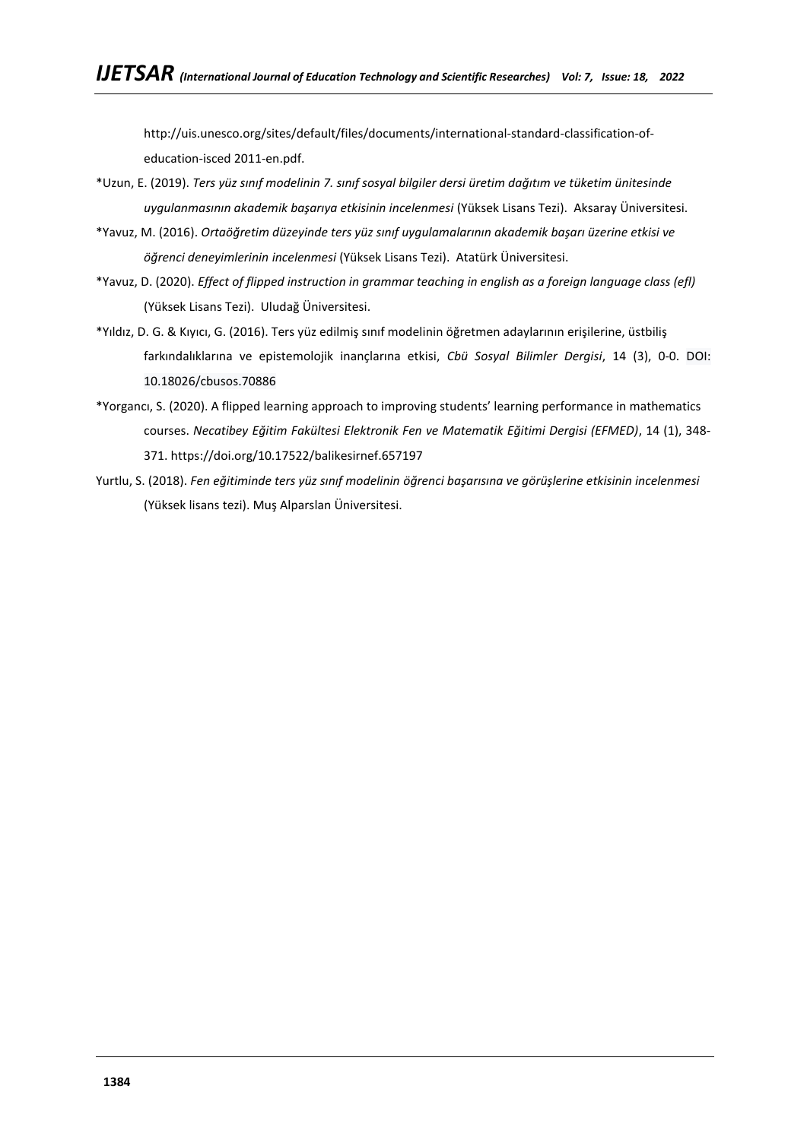[http://uis.unesco.org/sites/default/files/documents/international-standard-classification-of](http://uis.unesco.org/sites/default/files/documents/international-standard-classification-of-education-isced)[education-isced](http://uis.unesco.org/sites/default/files/documents/international-standard-classification-of-education-isced) 2011-en.pdf.

- \*Uzun, E. (2019). *Ters yüz sınıf modelinin 7. sınıf sosyal bilgiler dersi üretim dağıtım ve tüketim ünitesinde uygulanmasının akademik başarıya etkisinin incelenmesi* (Yüksek Lisans Tezi). Aksaray Üniversitesi.
- \*Yavuz, M. (2016). *Ortaöğretim düzeyinde ters yüz sınıf uygulamalarının akademik başarı üzerine etkisi ve öğrenci deneyimlerinin incelenmesi* (Yüksek Lisans Tezi). Atatürk Üniversitesi.
- \*Yavuz, D. (2020). *Effect of flipped instruction in grammar teaching in english as a foreign language class (efl)* (Yüksek Lisans Tezi). Uludağ Üniversitesi.
- \*Yıldız, D. G. & Kıyıcı, G. (2016). Ters yüz edilmiş sınıf modelinin öğretmen adaylarının erişilerine, üstbiliş farkındalıklarına ve epistemolojik inançlarına etkisi, *Cbü Sosyal Bilimler Dergisi*, 14 (3), 0-0. DOI: 10.18026/cbusos.70886
- \*Yorgancı, S. (2020). A flipped learning approach to improving students' learning performance in mathematics courses. *Necatibey Eğitim Fakültesi Elektronik Fen ve Matematik Eğitimi Dergisi (EFMED)*, 14 (1), 348- 371.<https://doi.org/10.17522/balikesirnef.657197>
- Yurtlu, S. (2018). *Fen eğitiminde ters yüz sınıf modelinin öğrenci başarısına ve görüşlerine etkisinin incelenmesi* (Yüksek lisans tezi). Muş Alparslan Üniversitesi.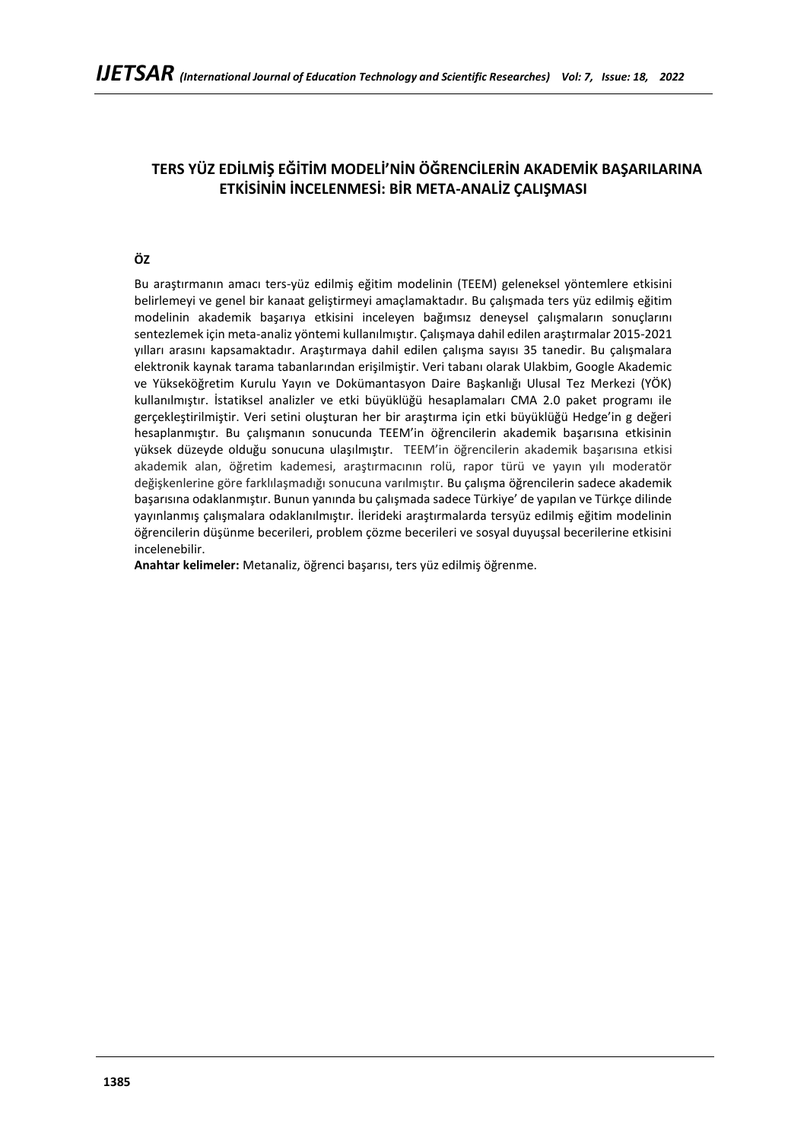# **TERS YÜZ EDİLMİŞ EĞİTİM MODELİ'NİN ÖĞRENCİLERİN AKADEMİK BAŞARILARINA ETKİSİNİN İNCELENMESİ: BİR META-ANALİZ ÇALIŞMASI**

# **ÖZ**

Bu araştırmanın amacı ters-yüz edilmiş eğitim modelinin (TEEM) geleneksel yöntemlere etkisini belirlemeyi ve genel bir kanaat geliştirmeyi amaçlamaktadır. Bu çalışmada ters yüz edilmiş eğitim modelinin akademik başarıya etkisini inceleyen bağımsız deneysel çalışmaların sonuçlarını sentezlemek için meta-analiz yöntemi kullanılmıştır. Çalışmaya dahil edilen araştırmalar 2015-2021 yılları arasını kapsamaktadır. Araştırmaya dahil edilen çalışma sayısı 35 tanedir. Bu çalışmalara elektronik kaynak tarama tabanlarından erişilmiştir. Veri tabanı olarak Ulakbim, Google Akademic ve Yükseköğretim Kurulu Yayın ve Dokümantasyon Daire Başkanlığı Ulusal Tez Merkezi (YÖK) kullanılmıştır. İstatiksel analizler ve etki büyüklüğü hesaplamaları CMA 2.0 paket programı ile gerçekleştirilmiştir. Veri setini oluşturan her bir araştırma için etki büyüklüğü Hedge'in g değeri hesaplanmıştır. Bu çalışmanın sonucunda TEEM'in öğrencilerin akademik başarısına etkisinin yüksek düzeyde olduğu sonucuna ulaşılmıştır. TEEM'in öğrencilerin akademik başarısına etkisi akademik alan, öğretim kademesi, araştırmacının rolü, rapor türü ve yayın yılı moderatör değişkenlerine göre farklılaşmadığı sonucuna varılmıştır. Bu çalışma öğrencilerin sadece akademik başarısına odaklanmıştır. Bunun yanında bu çalışmada sadece Türkiye' de yapılan ve Türkçe dilinde yayınlanmış çalışmalara odaklanılmıştır. İlerideki araştırmalarda tersyüz edilmiş eğitim modelinin öğrencilerin düşünme becerileri, problem çözme becerileri ve sosyal duyuşsal becerilerine etkisini incelenebilir.

**Anahtar kelimeler:** Metanaliz, öğrenci başarısı, ters yüz edilmiş öğrenme.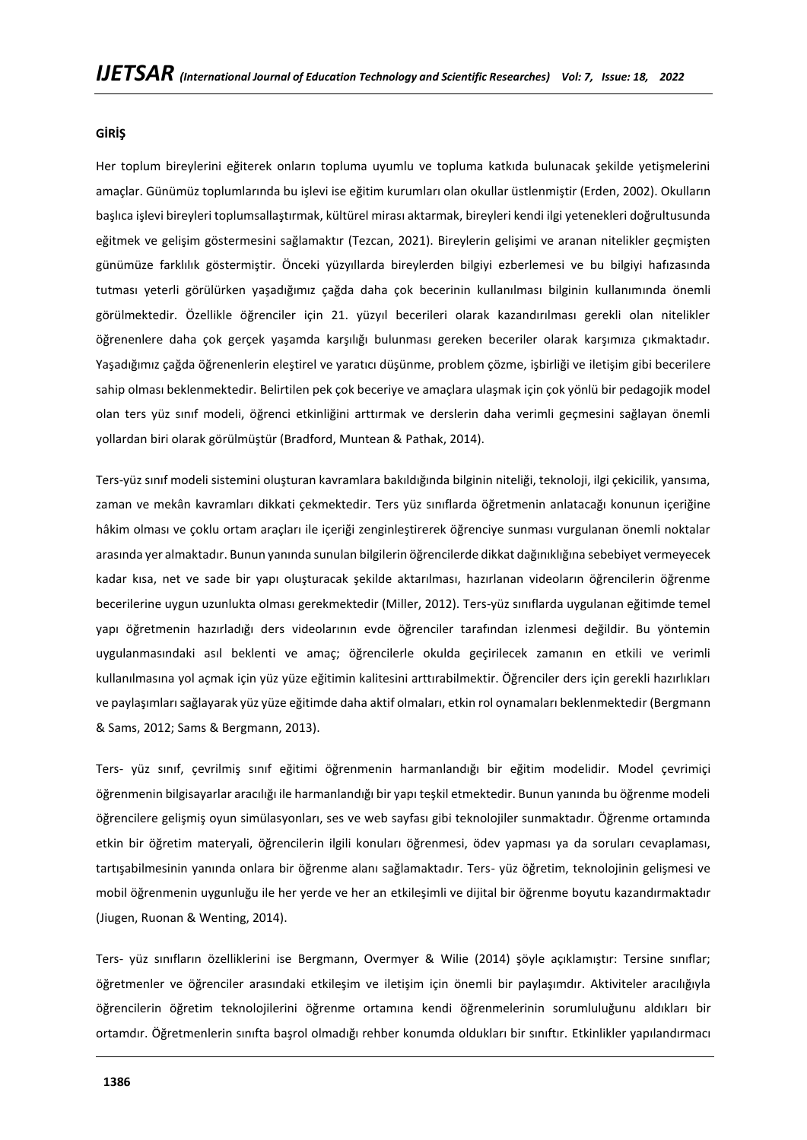#### **GİRİŞ**

Her toplum bireylerini eğiterek onların topluma uyumlu ve topluma katkıda bulunacak şekilde yetişmelerini amaçlar. Günümüz toplumlarında bu işlevi ise eğitim kurumları olan okullar üstlenmiştir (Erden, 2002). Okulların başlıca işlevi bireyleri toplumsallaştırmak, kültürel mirası aktarmak, bireyleri kendi ilgi yetenekleri doğrultusunda eğitmek ve gelişim göstermesini sağlamaktır (Tezcan, 2021). Bireylerin gelişimi ve aranan nitelikler geçmişten günümüze farklılık göstermiştir. Önceki yüzyıllarda bireylerden bilgiyi ezberlemesi ve bu bilgiyi hafızasında tutması yeterli görülürken yaşadığımız çağda daha çok becerinin kullanılması bilginin kullanımında önemli görülmektedir. Özellikle öğrenciler için 21. yüzyıl becerileri olarak kazandırılması gerekli olan nitelikler öğrenenlere daha çok gerçek yaşamda karşılığı bulunması gereken beceriler olarak karşımıza çıkmaktadır. Yaşadığımız çağda öğrenenlerin eleştirel ve yaratıcı düşünme, problem çözme, işbirliği ve iletişim gibi becerilere sahip olması beklenmektedir. Belirtilen pek çok beceriye ve amaçlara ulaşmak için çok yönlü bir pedagojik model olan ters yüz sınıf modeli, öğrenci etkinliğini arttırmak ve derslerin daha verimli geçmesini sağlayan önemli yollardan biri olarak görülmüştür (Bradford, Muntean & Pathak, 2014).

Ters-yüz sınıf modeli sistemini oluşturan kavramlara bakıldığında bilginin niteliği, teknoloji, ilgi çekicilik, yansıma, zaman ve mekân kavramları dikkati çekmektedir. Ters yüz sınıflarda öğretmenin anlatacağı konunun içeriğine hâkim olması ve çoklu ortam araçları ile içeriği zenginleştirerek öğrenciye sunması vurgulanan önemli noktalar arasında yer almaktadır. Bunun yanında sunulan bilgilerin öğrencilerde dikkat dağınıklığına sebebiyet vermeyecek kadar kısa, net ve sade bir yapı oluşturacak şekilde aktarılması, hazırlanan videoların öğrencilerin öğrenme becerilerine uygun uzunlukta olması gerekmektedir (Miller, 2012). Ters-yüz sınıflarda uygulanan eğitimde temel yapı öğretmenin hazırladığı ders videolarının evde öğrenciler tarafından izlenmesi değildir. Bu yöntemin uygulanmasındaki asıl beklenti ve amaç; öğrencilerle okulda geçirilecek zamanın en etkili ve verimli kullanılmasına yol açmak için yüz yüze eğitimin kalitesini arttırabilmektir. Öğrenciler ders için gerekli hazırlıkları ve paylaşımları sağlayarak yüz yüze eğitimde daha aktif olmaları, etkin rol oynamaları beklenmektedir (Bergmann & Sams, 2012; Sams & Bergmann, 2013).

Ters- yüz sınıf, çevrilmiş sınıf eğitimi öğrenmenin harmanlandığı bir eğitim modelidir. Model çevrimiçi öğrenmenin bilgisayarlar aracılığı ile harmanlandığı bir yapı teşkil etmektedir. Bunun yanında bu öğrenme modeli öğrencilere gelişmiş oyun simülasyonları, ses ve web sayfası gibi teknolojiler sunmaktadır. Öğrenme ortamında etkin bir öğretim materyali, öğrencilerin ilgili konuları öğrenmesi, ödev yapması ya da soruları cevaplaması, tartışabilmesinin yanında onlara bir öğrenme alanı sağlamaktadır. Ters- yüz öğretim, teknolojinin gelişmesi ve mobil öğrenmenin uygunluğu ile her yerde ve her an etkileşimli ve dijital bir öğrenme boyutu kazandırmaktadır (Jiugen, Ruonan & Wenting, 2014).

Ters- yüz sınıfların özelliklerini ise Bergmann, Overmyer & Wilie (2014) şöyle açıklamıştır: Tersine sınıflar; öğretmenler ve öğrenciler arasındaki etkileşim ve iletişim için önemli bir paylaşımdır. Aktiviteler aracılığıyla öğrencilerin öğretim teknolojilerini öğrenme ortamına kendi öğrenmelerinin sorumluluğunu aldıkları bir ortamdır. Öğretmenlerin sınıfta başrol olmadığı rehber konumda oldukları bir sınıftır. Etkinlikler yapılandırmacı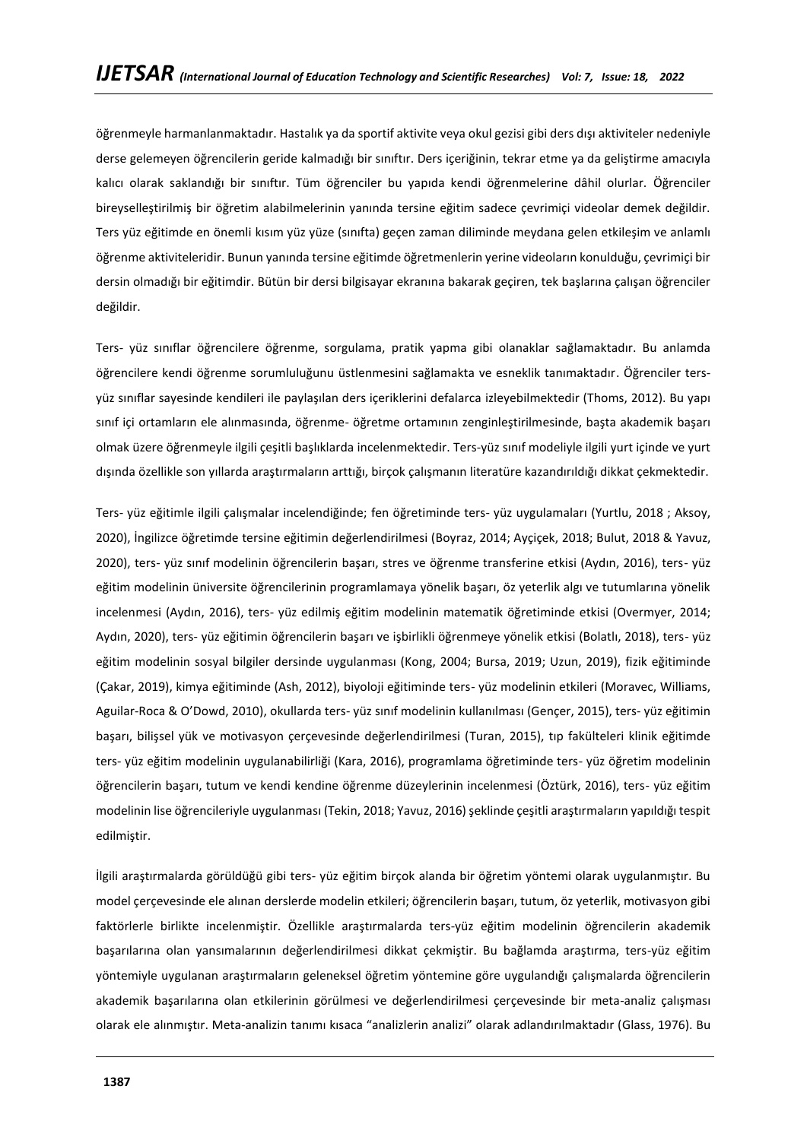öğrenmeyle harmanlanmaktadır. Hastalık ya da sportif aktivite veya okul gezisi gibi ders dışı aktiviteler nedeniyle derse gelemeyen öğrencilerin geride kalmadığı bir sınıftır. Ders içeriğinin, tekrar etme ya da geliştirme amacıyla kalıcı olarak saklandığı bir sınıftır. Tüm öğrenciler bu yapıda kendi öğrenmelerine dâhil olurlar. Öğrenciler bireyselleştirilmiş bir öğretim alabilmelerinin yanında tersine eğitim sadece çevrimiçi videolar demek değildir. Ters yüz eğitimde en önemli kısım yüz yüze (sınıfta) geçen zaman diliminde meydana gelen etkileşim ve anlamlı öğrenme aktiviteleridir. Bunun yanında tersine eğitimde öğretmenlerin yerine videoların konulduğu, çevrimiçi bir dersin olmadığı bir eğitimdir. Bütün bir dersi bilgisayar ekranına bakarak geçiren, tek başlarına çalışan öğrenciler değildir.

Ters- yüz sınıflar öğrencilere öğrenme, sorgulama, pratik yapma gibi olanaklar sağlamaktadır. Bu anlamda öğrencilere kendi öğrenme sorumluluğunu üstlenmesini sağlamakta ve esneklik tanımaktadır. Öğrenciler tersyüz sınıflar sayesinde kendileri ile paylaşılan ders içeriklerini defalarca izleyebilmektedir (Thoms, 2012). Bu yapı sınıf içi ortamların ele alınmasında, öğrenme- öğretme ortamının zenginleştirilmesinde, başta akademik başarı olmak üzere öğrenmeyle ilgili çeşitli başlıklarda incelenmektedir. Ters-yüz sınıf modeliyle ilgili yurt içinde ve yurt dışında özellikle son yıllarda araştırmaların arttığı, birçok çalışmanın literatüre kazandırıldığı dikkat çekmektedir.

Ters- yüz eğitimle ilgili çalışmalar incelendiğinde; fen öğretiminde ters- yüz uygulamaları (Yurtlu, 2018 ; Aksoy, 2020), İngilizce öğretimde tersine eğitimin değerlendirilmesi (Boyraz, 2014; Ayçiçek, 2018; Bulut, 2018 & Yavuz, 2020), ters- yüz sınıf modelinin öğrencilerin başarı, stres ve öğrenme transferine etkisi (Aydın, 2016), ters- yüz eğitim modelinin üniversite öğrencilerinin programlamaya yönelik başarı, öz yeterlik algı ve tutumlarına yönelik incelenmesi (Aydın, 2016), ters- yüz edilmiş eğitim modelinin matematik öğretiminde etkisi (Overmyer, 2014; Aydın, 2020), ters- yüz eğitimin öğrencilerin başarı ve işbirlikli öğrenmeye yönelik etkisi (Bolatlı, 2018), ters- yüz eğitim modelinin sosyal bilgiler dersinde uygulanması (Kong, 2004; Bursa, 2019; Uzun, 2019), fizik eğitiminde (Çakar, 2019), kimya eğitiminde (Ash, 2012), biyoloji eğitiminde ters- yüz modelinin etkileri (Moravec, Williams, Aguilar-Roca & O'Dowd, 2010), okullarda ters- yüz sınıf modelinin kullanılması (Gençer, 2015), ters- yüz eğitimin başarı, bilişsel yük ve motivasyon çerçevesinde değerlendirilmesi (Turan, 2015), tıp fakülteleri klinik eğitimde ters- yüz eğitim modelinin uygulanabilirliği (Kara, 2016), programlama öğretiminde ters- yüz öğretim modelinin öğrencilerin başarı, tutum ve kendi kendine öğrenme düzeylerinin incelenmesi (Öztürk, 2016), ters- yüz eğitim modelinin lise öğrencileriyle uygulanması (Tekin, 2018; Yavuz, 2016) şeklinde çeşitli araştırmaların yapıldığı tespit edilmiştir.

İlgili araştırmalarda görüldüğü gibi ters- yüz eğitim birçok alanda bir öğretim yöntemi olarak uygulanmıştır. Bu model çerçevesinde ele alınan derslerde modelin etkileri; öğrencilerin başarı, tutum, öz yeterlik, motivasyon gibi faktörlerle birlikte incelenmiştir. Özellikle araştırmalarda ters-yüz eğitim modelinin öğrencilerin akademik başarılarına olan yansımalarının değerlendirilmesi dikkat çekmiştir. Bu bağlamda araştırma, ters-yüz eğitim yöntemiyle uygulanan araştırmaların geleneksel öğretim yöntemine göre uygulandığı çalışmalarda öğrencilerin akademik başarılarına olan etkilerinin görülmesi ve değerlendirilmesi çerçevesinde bir meta-analiz çalışması olarak ele alınmıştır. Meta-analizin tanımı kısaca "analizlerin analizi" olarak adlandırılmaktadır (Glass, 1976). Bu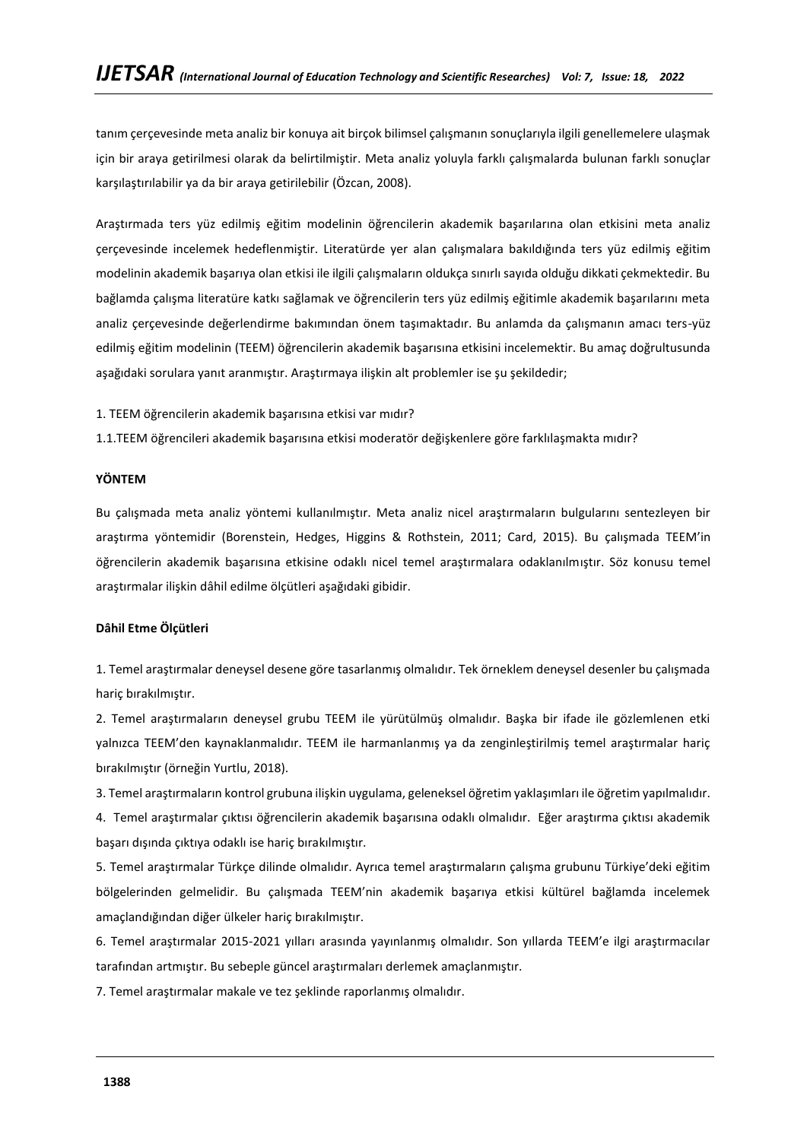tanım çerçevesinde meta analiz bir konuya ait birçok bilimsel çalışmanın sonuçlarıyla ilgili genellemelere ulaşmak için bir araya getirilmesi olarak da belirtilmiştir. Meta analiz yoluyla farklı çalışmalarda bulunan farklı sonuçlar karşılaştırılabilir ya da bir araya getirilebilir (Özcan, 2008).

Araştırmada ters yüz edilmiş eğitim modelinin öğrencilerin akademik başarılarına olan etkisini meta analiz çerçevesinde incelemek hedeflenmiştir. Literatürde yer alan çalışmalara bakıldığında ters yüz edilmiş eğitim modelinin akademik başarıya olan etkisi ile ilgili çalışmaların oldukça sınırlı sayıda olduğu dikkati çekmektedir. Bu bağlamda çalışma literatüre katkı sağlamak ve öğrencilerin ters yüz edilmiş eğitimle akademik başarılarını meta analiz çerçevesinde değerlendirme bakımından önem taşımaktadır. Bu anlamda da çalışmanın amacı ters-yüz edilmiş eğitim modelinin (TEEM) öğrencilerin akademik başarısına etkisini incelemektir. Bu amaç doğrultusunda aşağıdaki sorulara yanıt aranmıştır. Araştırmaya ilişkin alt problemler ise şu şekildedir;

1. TEEM öğrencilerin akademik başarısına etkisi var mıdır?

1.1.TEEM öğrencileri akademik başarısına etkisi moderatör değişkenlere göre farklılaşmakta mıdır?

#### **YÖNTEM**

Bu çalışmada meta analiz yöntemi kullanılmıştır. Meta analiz nicel araştırmaların bulgularını sentezleyen bir araştırma yöntemidir (Borenstein, Hedges, Higgins & Rothstein, 2011; Card, 2015). Bu çalışmada TEEM'in öğrencilerin akademik başarısına etkisine odaklı nicel temel araştırmalara odaklanılmıştır. Söz konusu temel araştırmalar ilişkin dâhil edilme ölçütleri aşağıdaki gibidir.

#### **Dâhil Etme Ölçütleri**

1. Temel araştırmalar deneysel desene göre tasarlanmış olmalıdır. Tek örneklem deneysel desenler bu çalışmada hariç bırakılmıştır.

2. Temel araştırmaların deneysel grubu TEEM ile yürütülmüş olmalıdır. Başka bir ifade ile gözlemlenen etki yalnızca TEEM'den kaynaklanmalıdır. TEEM ile harmanlanmış ya da zenginleştirilmiş temel araştırmalar hariç bırakılmıştır (örneğin Yurtlu, 2018).

3. Temel araştırmaların kontrol grubuna ilişkin uygulama, geleneksel öğretim yaklaşımları ile öğretim yapılmalıdır. 4. Temel araştırmalar çıktısı öğrencilerin akademik başarısına odaklı olmalıdır. Eğer araştırma çıktısı akademik başarı dışında çıktıya odaklı ise hariç bırakılmıştır.

5. Temel araştırmalar Türkçe dilinde olmalıdır. Ayrıca temel araştırmaların çalışma grubunu Türkiye'deki eğitim bölgelerinden gelmelidir. Bu çalışmada TEEM'nin akademik başarıya etkisi kültürel bağlamda incelemek amaçlandığından diğer ülkeler hariç bırakılmıştır.

6. Temel araştırmalar 2015-2021 yılları arasında yayınlanmış olmalıdır. Son yıllarda TEEM'e ilgi araştırmacılar tarafından artmıştır. Bu sebeple güncel araştırmaları derlemek amaçlanmıştır.

7. Temel araştırmalar makale ve tez şeklinde raporlanmış olmalıdır.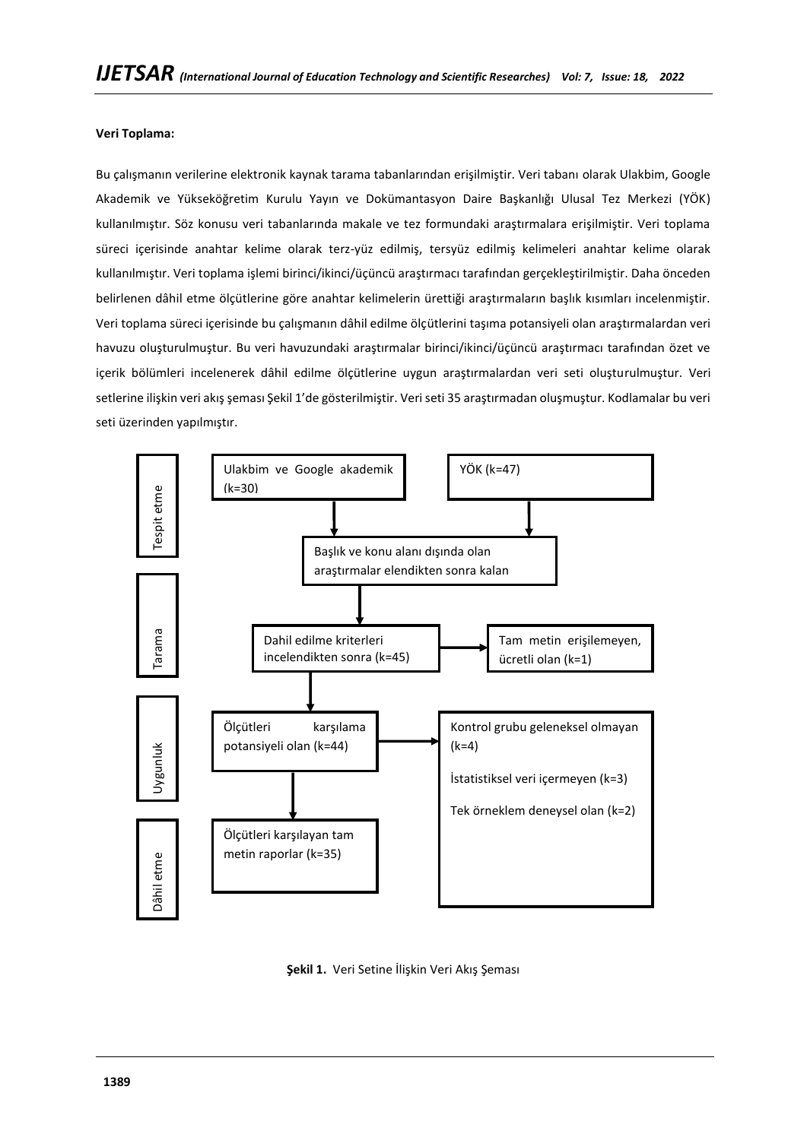## **Veri Toplama:**

Bu çalışmanın verilerine elektronik kaynak tarama tabanlarından erişilmiştir. Veri tabanı olarak Ulakbim, Google Akademik ve Yükseköğretim Kurulu Yayın ve Dokümantasyon Daire Başkanlığı Ulusal Tez Merkezi (YÖK) kullanılmıştır. Söz konusu veri tabanlarında makale ve tez formundaki araştırmalara erişilmiştir. Veri toplama süreci içerisinde anahtar kelime olarak terz-yüz edilmiş, tersyüz edilmiş kelimeleri anahtar kelime olarak kullanılmıştır. Veri toplama işlemi birinci/ikinci/üçüncü araştırmacı tarafından gerçekleştirilmiştir. Daha önceden belirlenen dâhil etme ölçütlerine göre anahtar kelimelerin ürettiği araştırmaların başlık kısımları incelenmiştir. Veri toplama süreci içerisinde bu çalışmanın dâhil edilme ölçütlerini taşıma potansiyeli olan araştırmalardan veri havuzu oluşturulmuştur. Bu veri havuzundaki araştırmalar birinci/ikinci/üçüncü araştırmacı tarafından özet ve içerik bölümleri incelenerek dâhil edilme ölçütlerine uygun araştırmalardan veri seti oluşturulmuştur. Veri setlerine ilişkin veri akış şeması Şekil 1'de gösterilmiştir. Veri seti 35 araştırmadan oluşmuştur. Kodlamalar bu veri seti üzerinden yapılmıştır.



**Şekil 1.** Veri Setine İlişkin Veri Akış Şeması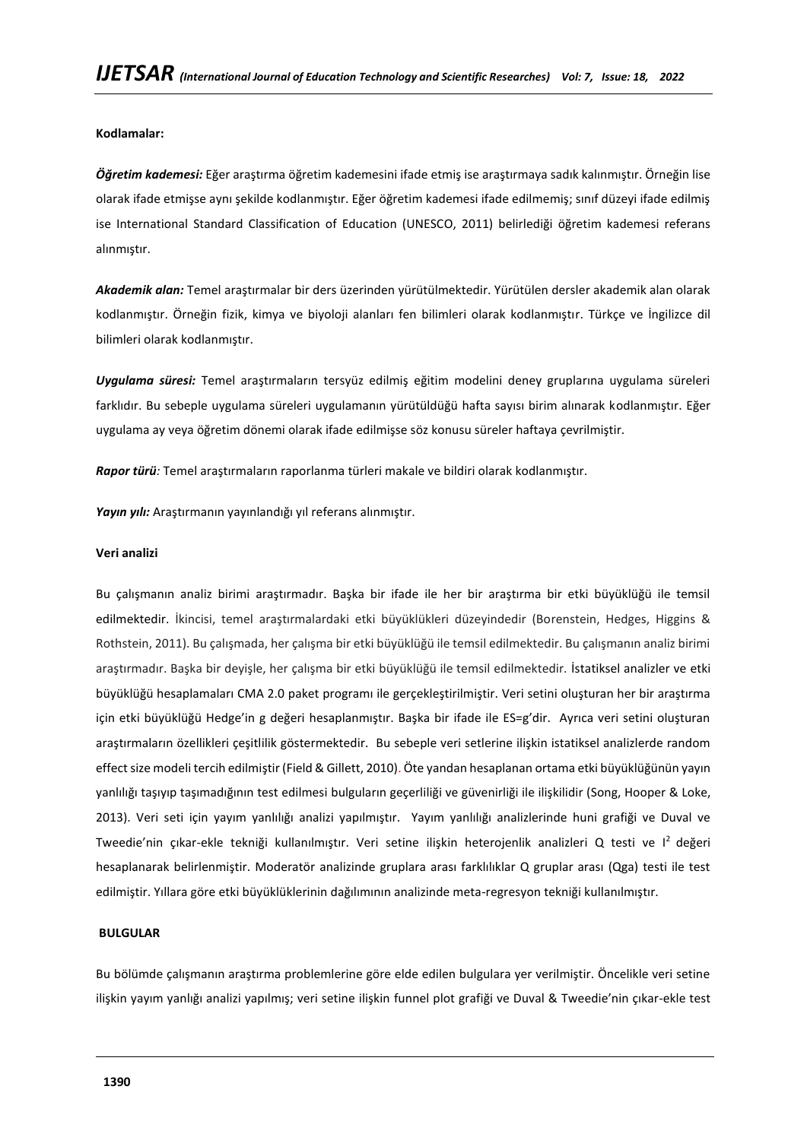**Kodlamalar:**

*Öğretim kademesi:* Eğer araştırma öğretim kademesini ifade etmiş ise araştırmaya sadık kalınmıştır. Örneğin lise olarak ifade etmişse aynı şekilde kodlanmıştır. Eğer öğretim kademesi ifade edilmemiş; sınıf düzeyi ifade edilmiş ise International Standard Classification of Education (UNESCO, 2011) belirlediği öğretim kademesi referans alınmıştır.

*Akademik alan:* Temel araştırmalar bir ders üzerinden yürütülmektedir. Yürütülen dersler akademik alan olarak kodlanmıştır. Örneğin fizik, kimya ve biyoloji alanları fen bilimleri olarak kodlanmıştır. Türkçe ve İngilizce dil bilimleri olarak kodlanmıştır.

*Uygulama süresi:* Temel araştırmaların tersyüz edilmiş eğitim modelini deney gruplarına uygulama süreleri farklıdır. Bu sebeple uygulama süreleri uygulamanın yürütüldüğü hafta sayısı birim alınarak kodlanmıştır. Eğer uygulama ay veya öğretim dönemi olarak ifade edilmişse söz konusu süreler haftaya çevrilmiştir.

*Rapor türü:* Temel araştırmaların raporlanma türleri makale ve bildiri olarak kodlanmıştır.

*Yayın yılı:* Araştırmanın yayınlandığı yıl referans alınmıştır.

#### **Veri analizi**

Bu çalışmanın analiz birimi araştırmadır. Başka bir ifade ile her bir araştırma bir etki büyüklüğü ile temsil edilmektedir. İkincisi, temel araştırmalardaki etki büyüklükleri düzeyindedir (Borenstein, Hedges, Higgins & Rothstein, 2011). Bu çalışmada, her çalışma bir etki büyüklüğü ile temsil edilmektedir. Bu çalışmanın analiz birimi araştırmadır. Başka bir deyişle, her çalışma bir etki büyüklüğü ile temsil edilmektedir. İstatiksel analizler ve etki büyüklüğü hesaplamaları CMA 2.0 paket programı ile gerçekleştirilmiştir. Veri setini oluşturan her bir araştırma için etki büyüklüğü Hedge'in g değeri hesaplanmıştır. Başka bir ifade ile ES=g'dir. Ayrıca veri setini oluşturan araştırmaların özellikleri çeşitlilik göstermektedir. Bu sebeple veri setlerine ilişkin istatiksel analizlerde random effect size modeli tercih edilmiştir (Field & Gillett, 2010). Öte yandan hesaplanan ortama etki büyüklüğünün yayın yanlılığı taşıyıp taşımadığının test edilmesi bulguların geçerliliği ve güvenirliği ile ilişkilidir (Song, Hooper & Loke, 2013). Veri seti için yayım yanlılığı analizi yapılmıştır. Yayım yanlılığı analizlerinde huni grafiği ve Duval ve Tweedie'nin çıkar-ekle tekniği kullanılmıştır. Veri setine ilişkin heterojenlik analizleri Q testi ve I<sup>2</sup>değeri hesaplanarak belirlenmiştir. Moderatör analizinde gruplara arası farklılıklar Q gruplar arası (Qga) testi ile test edilmiştir. Yıllara göre etki büyüklüklerinin dağılımının analizinde meta-regresyon tekniği kullanılmıştır.

## **BULGULAR**

Bu bölümde çalışmanın araştırma problemlerine göre elde edilen bulgulara yer verilmiştir. Öncelikle veri setine ilişkin yayım yanlığı analizi yapılmış; veri setine ilişkin funnel plot grafiği ve Duval & Tweedie'nin çıkar-ekle test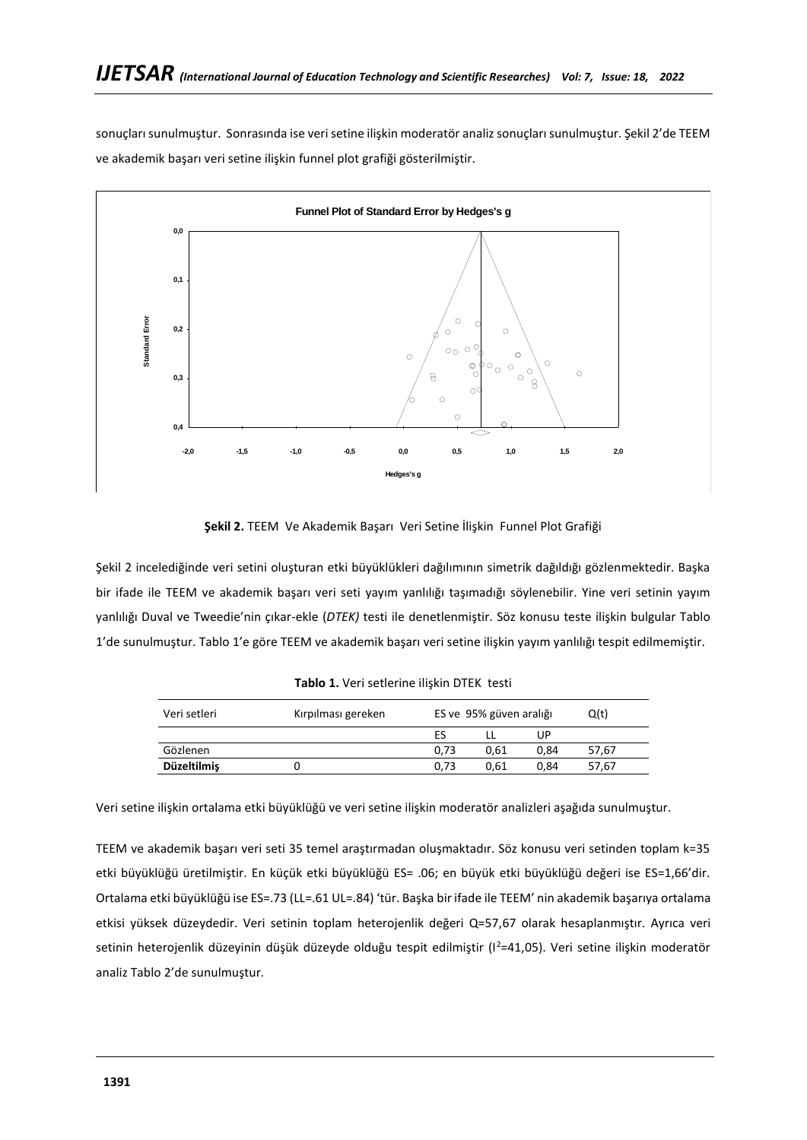sonuçları sunulmuştur. Sonrasında ise veri setine ilişkin moderatör analiz sonuçları sunulmuştur. Şekil 2'de TEEM ve akademik başarı veri setine ilişkin funnel plot grafiği gösterilmiştir.



**Şekil 2.** TEEM Ve Akademik Başarı Veri Setine İlişkin Funnel Plot Grafiği

Şekil 2 incelediğinde veri setini oluşturan etki büyüklükleri dağılımının simetrik dağıldığı gözlenmektedir. Başka bir ifade ile TEEM ve akademik başarı veri seti yayım yanlılığı taşımadığı söylenebilir. Yine veri setinin yayım yanlılığı Duval ve Tweedie'nin çıkar-ekle (*DTEK)* testi ile denetlenmiştir. Söz konusu teste ilişkin bulgular Tablo 1'de sunulmuştur. Tablo 1'e göre TEEM ve akademik başarı veri setine ilişkin yayım yanlılığı tespit edilmemiştir.

|  |  | Tablo 1. Veri setlerine ilişkin DTEK testi |  |  |  |
|--|--|--------------------------------------------|--|--|--|
|--|--|--------------------------------------------|--|--|--|

| Veri setleri       | Kırpılması gereken | ES ve 95% güven aralığı |      |      | Q(t)  |
|--------------------|--------------------|-------------------------|------|------|-------|
|                    |                    | ES                      |      | UP   |       |
| Gözlenen           |                    | 0.73                    | 0.61 | 0.84 | 57,67 |
| <b>Düzeltilmiş</b> |                    | 0.73                    | 0.61 | 0.84 | 57,67 |
|                    |                    |                         |      |      |       |

Veri setine ilişkin ortalama etki büyüklüğü ve veri setine ilişkin moderatör analizleri aşağıda sunulmuştur.

TEEM ve akademik başarı veri seti 35 temel araştırmadan oluşmaktadır. Söz konusu veri setinden toplam k=35 etki büyüklüğü üretilmiştir. En küçük etki büyüklüğü ES= .06; en büyük etki büyüklüğü değeri ise ES=1,66'dir. Ortalama etki büyüklüğü ise ES=.73 (LL=.61 UL=.84) 'tür. Başka bir ifade ile TEEM' nin akademik başarıya ortalama etkisi yüksek düzeydedir. Veri setinin toplam heterojenlik değeri Q=57,67 olarak hesaplanmıştır. Ayrıca veri setinin heterojenlik düzeyinin düşük düzeyde olduğu tespit edilmiştir (I<sup>2</sup>=41,05). Veri setine ilişkin moderatör analiz Tablo 2'de sunulmuştur.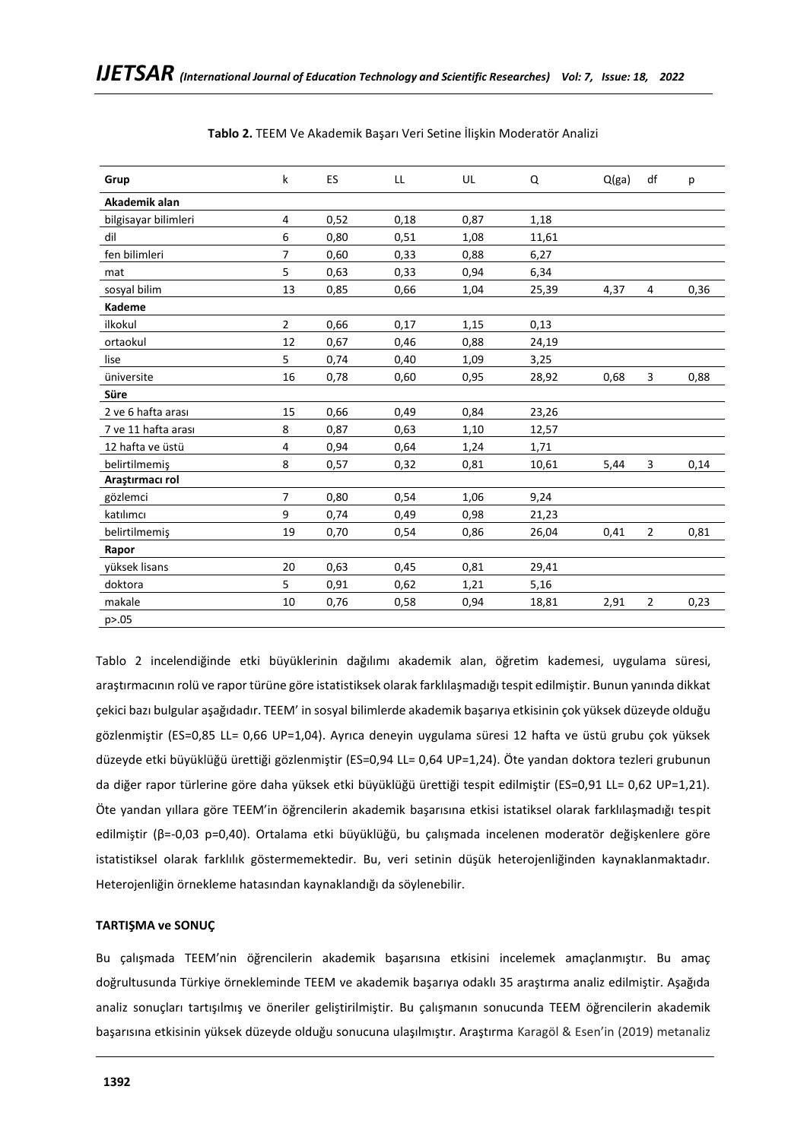| Grup                 | k              | ES   | LL   | UL   | Q     | Q(ga) | df             | р    |
|----------------------|----------------|------|------|------|-------|-------|----------------|------|
| Akademik alan        |                |      |      |      |       |       |                |      |
| bilgisayar bilimleri | 4              | 0,52 | 0,18 | 0,87 | 1,18  |       |                |      |
| dil                  | 6              | 0,80 | 0,51 | 1,08 | 11,61 |       |                |      |
| fen bilimleri        | 7              | 0,60 | 0,33 | 0,88 | 6,27  |       |                |      |
| mat                  | 5              | 0,63 | 0,33 | 0,94 | 6,34  |       |                |      |
| sosyal bilim         | 13             | 0,85 | 0,66 | 1,04 | 25,39 | 4,37  | 4              | 0,36 |
| Kademe               |                |      |      |      |       |       |                |      |
| ilkokul              | $\overline{2}$ | 0,66 | 0,17 | 1,15 | 0,13  |       |                |      |
| ortaokul             | 12             | 0,67 | 0,46 | 0,88 | 24,19 |       |                |      |
| lise                 | 5              | 0,74 | 0,40 | 1,09 | 3,25  |       |                |      |
| üniversite           | 16             | 0,78 | 0,60 | 0,95 | 28,92 | 0,68  | 3              | 0,88 |
| Süre                 |                |      |      |      |       |       |                |      |
| 2 ve 6 hafta arası   | 15             | 0,66 | 0,49 | 0,84 | 23,26 |       |                |      |
| 7 ve 11 hafta arası  | 8              | 0,87 | 0,63 | 1,10 | 12,57 |       |                |      |
| 12 hafta ve üstü     | 4              | 0,94 | 0,64 | 1,24 | 1,71  |       |                |      |
| belirtilmemiş        | 8              | 0,57 | 0,32 | 0,81 | 10,61 | 5,44  | 3              | 0,14 |
| Araştırmacı rol      |                |      |      |      |       |       |                |      |
| gözlemci             | 7              | 0,80 | 0,54 | 1,06 | 9,24  |       |                |      |
| katılımcı            | 9              | 0,74 | 0,49 | 0,98 | 21,23 |       |                |      |
| belirtilmemiş        | 19             | 0,70 | 0,54 | 0,86 | 26,04 | 0,41  | $\overline{2}$ | 0,81 |
| Rapor                |                |      |      |      |       |       |                |      |
| yüksek lisans        | 20             | 0,63 | 0,45 | 0,81 | 29,41 |       |                |      |
| doktora              | 5              | 0,91 | 0,62 | 1,21 | 5,16  |       |                |      |
| makale               | 10             | 0,76 | 0,58 | 0,94 | 18,81 | 2,91  | $\overline{2}$ | 0,23 |
| p > 0.05             |                |      |      |      |       |       |                |      |

**Tablo 2.** TEEM Ve Akademik Başarı Veri Setine İlişkin Moderatör Analizi

Tablo 2 incelendiğinde etki büyüklerinin dağılımı akademik alan, öğretim kademesi, uygulama süresi, araştırmacının rolü ve rapor türüne göre istatistiksek olarak farklılaşmadığı tespit edilmiştir. Bunun yanında dikkat çekici bazı bulgular aşağıdadır. TEEM' in sosyal bilimlerde akademik başarıya etkisinin çok yüksek düzeyde olduğu gözlenmiştir (ES=0,85 LL= 0,66 UP=1,04). Ayrıca deneyin uygulama süresi 12 hafta ve üstü grubu çok yüksek düzeyde etki büyüklüğü ürettiği gözlenmiştir (ES=0,94 LL= 0,64 UP=1,24). Öte yandan doktora tezleri grubunun da diğer rapor türlerine göre daha yüksek etki büyüklüğü ürettiği tespit edilmiştir (ES=0,91 LL= 0,62 UP=1,21). Öte yandan yıllara göre TEEM'in öğrencilerin akademik başarısına etkisi istatiksel olarak farklılaşmadığı tespit edilmiştir (β=-0,03 p=0,40). Ortalama etki büyüklüğü, bu çalışmada incelenen moderatör değişkenlere göre istatistiksel olarak farklılık göstermemektedir. Bu, veri setinin düşük heterojenliğinden kaynaklanmaktadır. Heterojenliğin örnekleme hatasından kaynaklandığı da söylenebilir.

## **TARTIŞMA ve SONUÇ**

Bu çalışmada TEEM'nin öğrencilerin akademik başarısına etkisini incelemek amaçlanmıştır. Bu amaç doğrultusunda Türkiye örnekleminde TEEM ve akademik başarıya odaklı 35 araştırma analiz edilmiştir. Aşağıda analiz sonuçları tartışılmış ve öneriler geliştirilmiştir. Bu çalışmanın sonucunda TEEM öğrencilerin akademik başarısına etkisinin yüksek düzeyde olduğu sonucuna ulaşılmıştır. Araştırma Karagöl & Esen'in (2019) metanaliz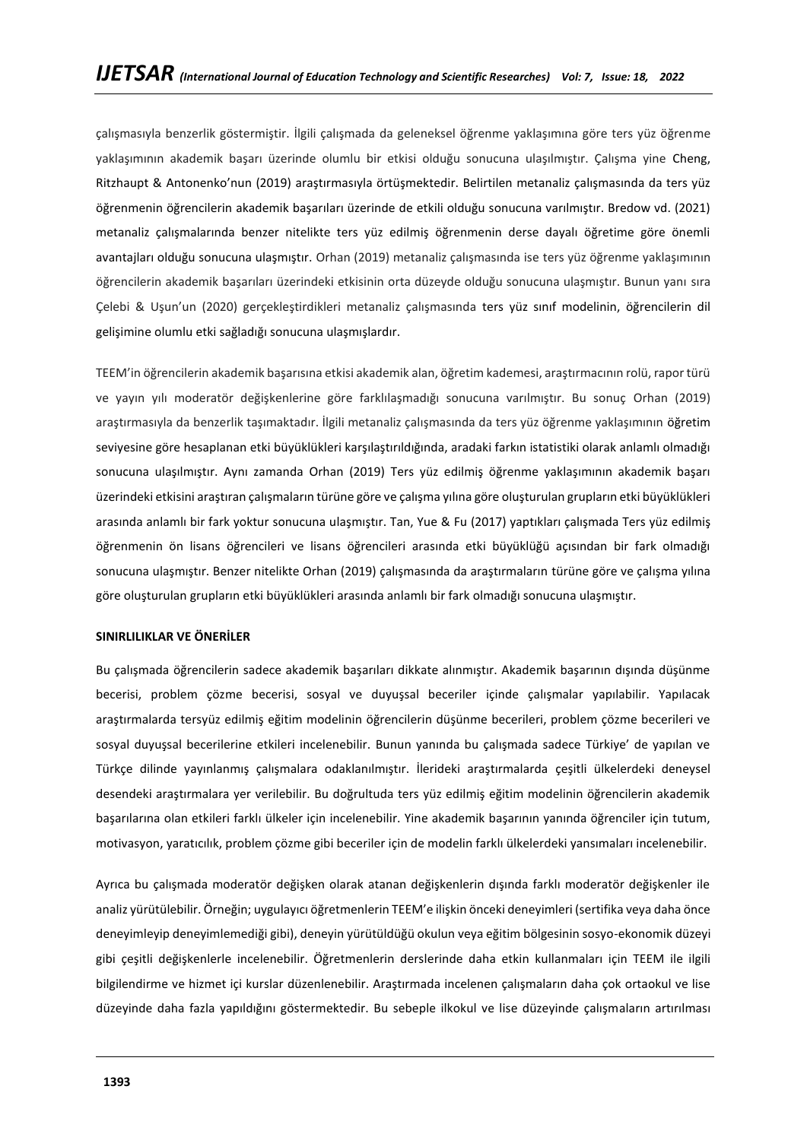çalışmasıyla benzerlik göstermiştir. İlgili çalışmada da geleneksel öğrenme yaklaşımına göre ters yüz öğrenme yaklaşımının akademik başarı üzerinde olumlu bir etkisi olduğu sonucuna ulaşılmıştır. Çalışma yine Cheng, Ritzhaupt & Antonenko'nun (2019) araştırmasıyla örtüşmektedir. Belirtilen metanaliz çalışmasında da ters yüz öğrenmenin öğrencilerin akademik başarıları üzerinde de etkili olduğu sonucuna varılmıştır. Bredow vd. (2021) metanaliz çalışmalarında benzer nitelikte ters yüz edilmiş öğrenmenin derse dayalı öğretime göre önemli avantajları olduğu sonucuna ulaşmıştır. Orhan (2019) metanaliz çalışmasında ise ters yüz öğrenme yaklaşımının öğrencilerin akademik başarıları üzerindeki etkisinin orta düzeyde olduğu sonucuna ulaşmıştır. Bunun yanı sıra Çelebi & Uşun'un (2020) gerçekleştirdikleri metanaliz çalışmasında ters yüz sınıf modelinin, öğrencilerin dil gelişimine olumlu etki sağladığı sonucuna ulaşmışlardır.

TEEM'in öğrencilerin akademik başarısına etkisi akademik alan, öğretim kademesi, araştırmacının rolü, rapor türü ve yayın yılı moderatör değişkenlerine göre farklılaşmadığı sonucuna varılmıştır. Bu sonuç Orhan (2019) araştırmasıyla da benzerlik taşımaktadır. İlgili metanaliz çalışmasında da ters yüz öğrenme yaklaşımının öğretim seviyesine göre hesaplanan etki büyüklükleri karşılaştırıldığında, aradaki farkın istatistiki olarak anlamlı olmadığı sonucuna ulaşılmıştır. Aynı zamanda Orhan (2019) Ters yüz edilmiş öğrenme yaklaşımının akademik başarı üzerindeki etkisini araştıran çalışmaların türüne göre ve çalışma yılına göre oluşturulan grupların etki büyüklükleri arasında anlamlı bir fark yoktur sonucuna ulaşmıştır. Tan, Yue & Fu (2017) yaptıkları çalışmada Ters yüz edilmiş öğrenmenin ön lisans öğrencileri ve lisans öğrencileri arasında etki büyüklüğü açısından bir fark olmadığı sonucuna ulaşmıştır. Benzer nitelikte Orhan (2019) çalışmasında da araştırmaların türüne göre ve çalışma yılına göre oluşturulan grupların etki büyüklükleri arasında anlamlı bir fark olmadığı sonucuna ulaşmıştır.

#### **SINIRLILIKLAR VE ÖNERİLER**

Bu çalışmada öğrencilerin sadece akademik başarıları dikkate alınmıştır. Akademik başarının dışında düşünme becerisi, problem çözme becerisi, sosyal ve duyuşsal beceriler içinde çalışmalar yapılabilir. Yapılacak araştırmalarda tersyüz edilmiş eğitim modelinin öğrencilerin düşünme becerileri, problem çözme becerileri ve sosyal duyuşsal becerilerine etkileri incelenebilir. Bunun yanında bu çalışmada sadece Türkiye' de yapılan ve Türkçe dilinde yayınlanmış çalışmalara odaklanılmıştır. İlerideki araştırmalarda çeşitli ülkelerdeki deneysel desendeki araştırmalara yer verilebilir. Bu doğrultuda ters yüz edilmiş eğitim modelinin öğrencilerin akademik başarılarına olan etkileri farklı ülkeler için incelenebilir. Yine akademik başarının yanında öğrenciler için tutum, motivasyon, yaratıcılık, problem çözme gibi beceriler için de modelin farklı ülkelerdeki yansımaları incelenebilir.

Ayrıca bu çalışmada moderatör değişken olarak atanan değişkenlerin dışında farklı moderatör değişkenler ile analiz yürütülebilir. Örneğin; uygulayıcı öğretmenlerin TEEM'e ilişkin önceki deneyimleri (sertifika veya daha önce deneyimleyip deneyimlemediği gibi), deneyin yürütüldüğü okulun veya eğitim bölgesinin sosyo-ekonomik düzeyi gibi çeşitli değişkenlerle incelenebilir. Öğretmenlerin derslerinde daha etkin kullanmaları için TEEM ile ilgili bilgilendirme ve hizmet içi kurslar düzenlenebilir. Araştırmada incelenen çalışmaların daha çok ortaokul ve lise düzeyinde daha fazla yapıldığını göstermektedir. Bu sebeple ilkokul ve lise düzeyinde çalışmaların artırılması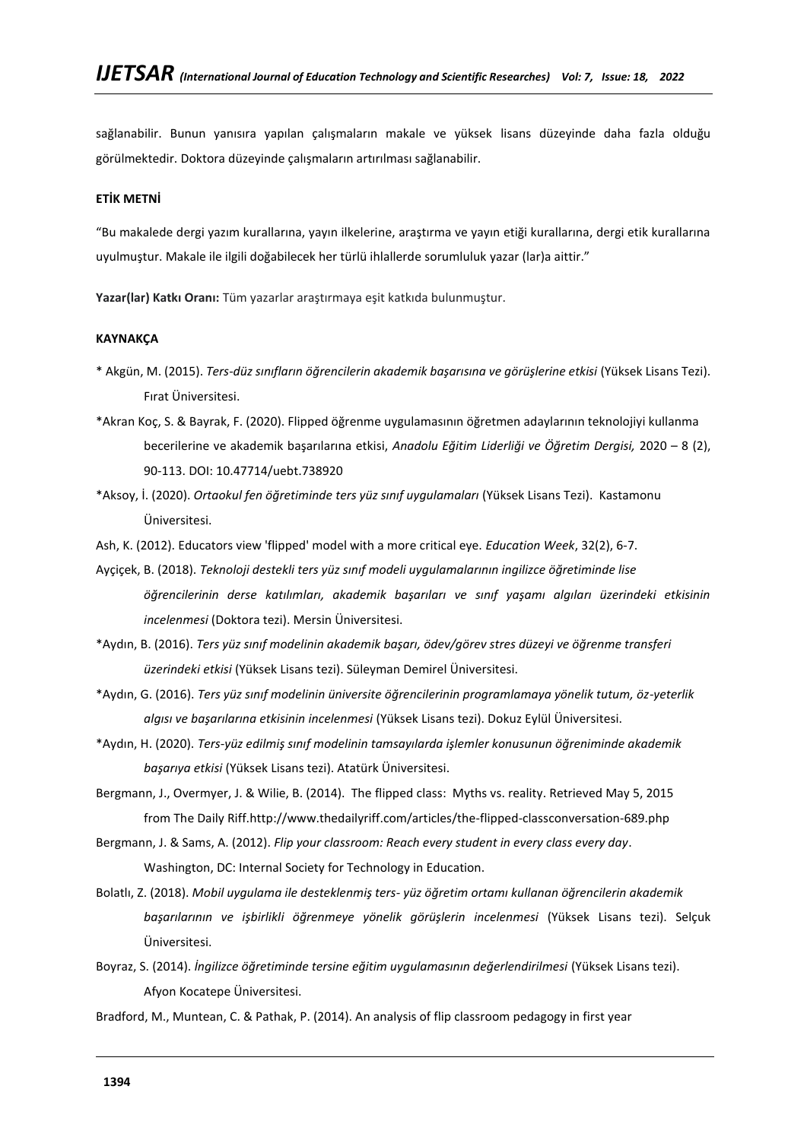sağlanabilir. Bunun yanısıra yapılan çalışmaların makale ve yüksek lisans düzeyinde daha fazla olduğu görülmektedir. Doktora düzeyinde çalışmaların artırılması sağlanabilir.

## **ETİK METNİ**

"Bu makalede dergi yazım kurallarına, yayın ilkelerine, araştırma ve yayın etiği kurallarına, dergi etik kurallarına uyulmuştur. Makale ile ilgili doğabilecek her türlü ihlallerde sorumluluk yazar (lar)a aittir."

**Yazar(lar) Katkı Oranı:** Tüm yazarlar araştırmaya eşit katkıda bulunmuştur.

## **KAYNAKÇA**

- \* Akgün, M. (2015). *Ters-düz sınıfların öğrencilerin akademik başarısına ve görüşlerine etkisi* (Yüksek Lisans Tezi). Fırat Üniversitesi.
- \*Akran Koç, S. & Bayrak, F. (2020). Flipped öğrenme uygulamasının öğretmen adaylarının teknolojiyi kullanma becerilerine ve akademik başarılarına etkisi, *Anadolu Eğitim Liderliği ve Öğretim Dergisi,* 2020 – 8 (2), 90-113. DOI: 10.47714/uebt.738920
- \*Aksoy, İ. (2020). *Ortaokul fen öğretiminde ters yüz sınıf uygulamaları* (Yüksek Lisans Tezi). Kastamonu Üniversitesi.
- Ash, K. (2012). Educators view 'flipped' model with a more critical eye. *Education Week*, 32(2), 6-7.
- Ayçiçek, B. (2018). *Teknoloji destekli ters yüz sınıf modeli uygulamalarının ingilizce öğretiminde lise öğrencilerinin derse katılımları, akademik başarıları ve sınıf yaşamı algıları üzerindeki etkisinin incelenmesi* (Doktora tezi). Mersin Üniversitesi.
- \*Aydın, B. (2016). *Ters yüz sınıf modelinin akademik başarı, ödev/görev stres düzeyi ve öğrenme transferi üzerindeki etkisi* (Yüksek Lisans tezi). Süleyman Demirel Üniversitesi.
- \*Aydın, G. (2016). *Ters yüz sınıf modelinin üniversite öğrencilerinin programlamaya yönelik tutum, öz-yeterlik algısı ve başarılarına etkisinin incelenmesi* (Yüksek Lisans tezi). Dokuz Eylül Üniversitesi.
- \*Aydın, H. (2020). *Ters-yüz edilmiş sınıf modelinin tamsayılarda işlemler konusunun öğreniminde akademik başarıya etkisi* (Yüksek Lisans tezi). Atatürk Üniversitesi.
- Bergmann, J., Overmyer, J. & Wilie, B. (2014). The flipped class: Myths vs. reality. Retrieved May 5, 2015 from The Daily Riff[.http://www.thedailyriff.com/articles/the-flipped-classconversation-689.php](http://www.thedailyriff.com/articles/the-flipped-classconversation-689.php)
- Bergmann, J. & Sams, A. (2012). *Flip your classroom: Reach every student in every class every day*. Washington, DC: Internal Society for Technology in Education.
- Bolatlı, Z. (2018). *Mobil uygulama ile desteklenmiş ters- yüz öğretim ortamı kullanan öğrencilerin akademik başarılarının ve işbirlikli öğrenmeye yönelik görüşlerin incelenmesi* (Yüksek Lisans tezi). Selçuk Üniversitesi.
- Boyraz, S. (2014). *İngilizce öğretiminde tersine eğitim uygulamasının değerlendirilmesi* (Yüksek Lisans tezi). Afyon Kocatepe Üniversitesi.
- Bradford, M., Muntean, C. & Pathak, P. (2014). An analysis of flip classroom pedagogy in first year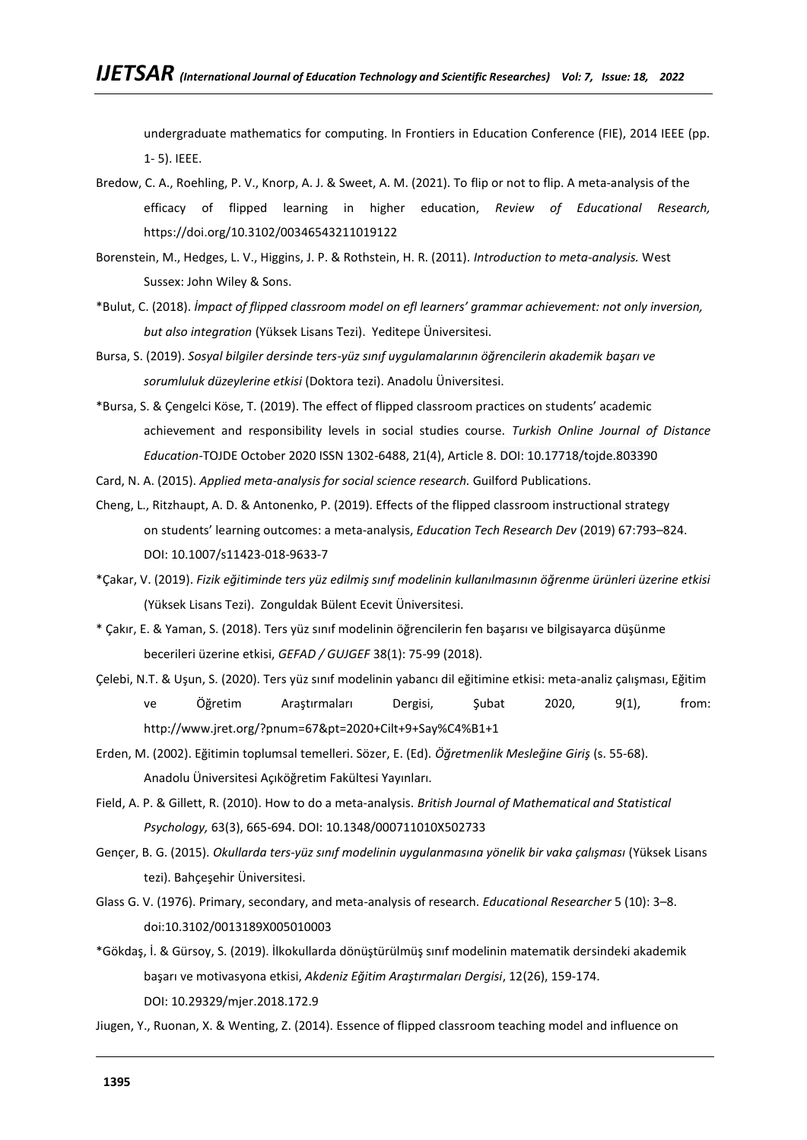undergraduate mathematics for computing. In Frontiers in Education Conference (FIE), 2014 IEEE (pp. 1- 5). IEEE.

- Bredow, C. A., Roehling, P. V., Knorp, A. J. & Sweet, A. M. (2021). To flip or not to flip. A meta-analysis of the efficacy of flipped learning in higher education, *Review of Educational Research,*  <https://doi.org/10.3102/00346543211019122>
- Borenstein, M., Hedges, L. V., Higgins, J. P. & Rothstein, H. R. (2011). *Introduction to meta-analysis.* West Sussex: John Wiley & Sons.
- \*Bulut, C. (2018). *İmpact of flipped classroom model on efl learners' grammar achievement: not only inversion, but also integration* (Yüksek Lisans Tezi). Yeditepe Üniversitesi.
- Bursa, S. (2019). *Sosyal bilgiler dersinde ters-yüz sınıf uygulamalarının öğrencilerin akademik başarı ve sorumluluk düzeylerine etkisi* (Doktora tezi). Anadolu Üniversitesi.
- \*Bursa, S. & Çengelci Köse, T. (2019). The effect of flipped classroom practices on students' academic achievement and responsibility levels in social studies course. *Turkish Online Journal of Distance Education*-TOJDE October 2020 ISSN 1302-6488, 21(4), Article 8. DOI: 10.17718/tojde.803390
- Card, N. A. (2015). *Applied meta-analysis for social science research.* Guilford Publications.
- Cheng, L., Ritzhaupt, A. D. & Antonenko, P. (2019). Effects of the flipped classroom instructional strategy on students' learning outcomes: a meta-analysis, *Education Tech Research Dev* (2019) 67:793–824. DOI: [10.1007/s11423-018-9633-7](http://dx.doi.org/10.1007/s11423-018-9633-7)
- \*Çakar, V. (2019). *Fizik eğitiminde ters yüz edilmiş sınıf modelinin kullanılmasının öğrenme ürünleri üzerine etkisi* (Yüksek Lisans Tezi). Zonguldak Bülent Ecevit Üniversitesi.
- \* Çakır, E. & Yaman, S. (2018). Ters yüz sınıf modelinin öğrencilerin fen başarısı ve bilgisayarca düşünme becerileri üzerine etkisi, *GEFAD / GUJGEF* 38(1): 75-99 (2018).
- Çelebi, N.T. & Uşun, S. (2020). Ters yüz sınıf modelinin yabancı dil eğitimine etkisi: meta-analiz çalışması, Eğitim ve Öğretim Araştırmaları Dergisi, Şubat 2020, 9(1), from: http://www.jret.org/?pnum=67&pt=2020+Cilt+9+Say%C4%B1+1
- Erden, M. (2002). Eğitimin toplumsal temelleri. Sözer, E. (Ed). *Öğretmenlik Mesleğine Giriş* (s. 55-68). Anadolu Üniversitesi Açıköğretim Fakültesi Yayınları.
- Field, A. P. & Gillett, R. (2010). How to do a meta‐analysis. *British Journal of Mathematical and Statistical Psychology,* 63(3), 665-694. DOI: [10.1348/000711010X502733](https://doi.org/10.1348/000711010x502733)
- Gençer, B. G. (2015). *Okullarda ters-yüz sınıf modelinin uygulanmasına yönelik bir vaka çalışması* (Yüksek Lisans tezi). Bahçeşehir Üniversitesi.
- Glass G. V. (1976). Primary, secondary, and meta-analysis of research. *Educational Researcher* 5 (10): 3–8. doi:10.3102/0013189X005010003
- \*Gökdaş, İ. & Gürsoy, S. (2019). İlkokullarda dönüştürülmüş sınıf modelinin matematik dersindeki akademik başarı ve motivasyona etkisi, *Akdeniz Eğitim Araştırmaları Dergisi*, 12(26), 159-174. DOI: [10.29329/mjer.2018.172.9](http://dx.doi.org/10.29329/mjer.2018.172.9)
- Jiugen, Y., Ruonan, X. & Wenting, Z. (2014). Essence of flipped classroom teaching model and influence on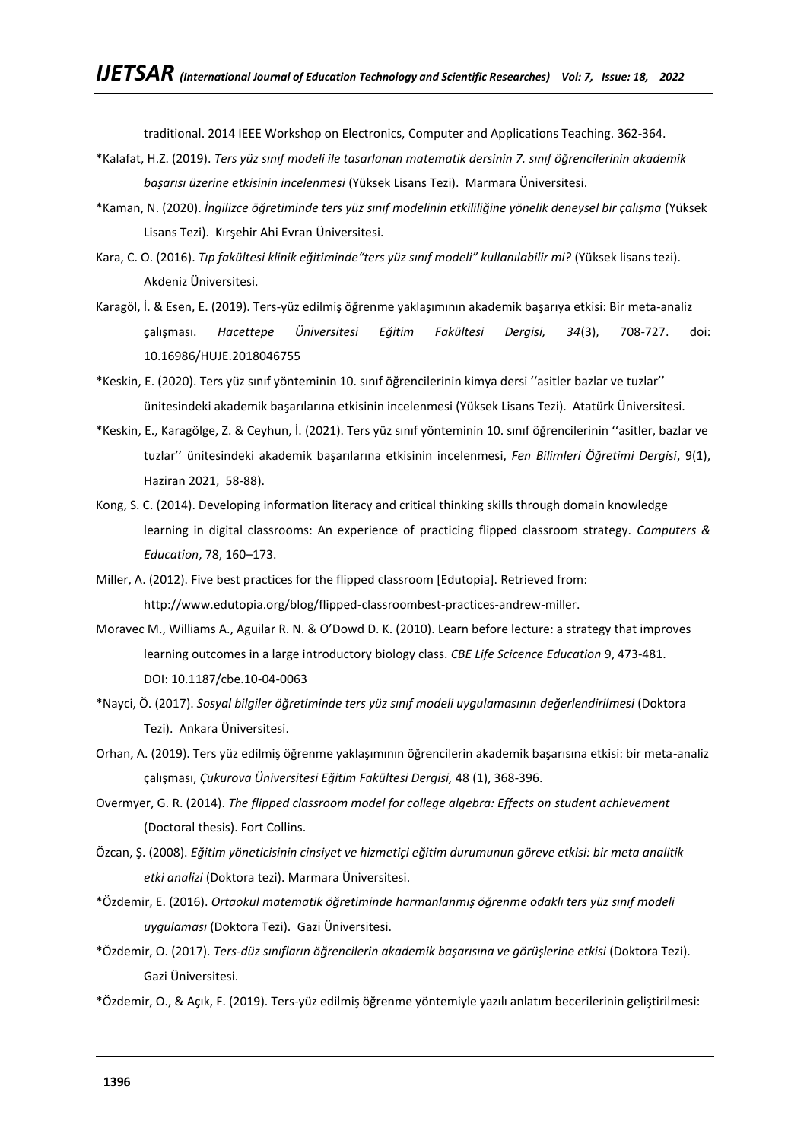traditional. 2014 IEEE Workshop on Electronics, Computer and Applications Teaching. 362-364.

- \*Kalafat, H.Z. (2019). *Ters yüz sınıf modeli ile tasarlanan matematik dersinin 7. sınıf öğrencilerinin akademik başarısı üzerine etkisinin incelenmesi* (Yüksek Lisans Tezi). Marmara Üniversitesi.
- \*Kaman, N. (2020). *İngilizce öğretiminde ters yüz sınıf modelinin etkililiğine yönelik deneysel bir çalışma* (Yüksek Lisans Tezi). Kırşehir Ahi Evran Üniversitesi.
- Kara, C. O. (2016). *Tıp fakültesi klinik eğitiminde"ters yüz sınıf modeli" kullanılabilir mi?* (Yüksek lisans tezi). Akdeniz Üniversitesi.
- Karagöl, İ. & Esen, E. (2019). Ters-yüz edilmiş öğrenme yaklaşımının akademik başarıya etkisi: Bir meta-analiz çalışması. *Hacettepe Üniversitesi Eğitim Fakültesi Dergisi, 34*(3), 708-727. doi: 10.16986/HUJE.2018046755
- \*Keskin, E. (2020). Ters yüz sınıf yönteminin 10. sınıf öğrencilerinin kimya dersi ''asitler bazlar ve tuzlar'' ünitesindeki akademik başarılarına etkisinin incelenmesi (Yüksek Lisans Tezi). Atatürk Üniversitesi.
- \*Keskin, E., Karagölge, Z. & Ceyhun, İ. (2021). Ters yüz sınıf yönteminin 10. sınıf öğrencilerinin ''asitler, bazlar ve tuzlar'' ünitesindeki akademik başarılarına etkisinin incelenmesi, *Fen Bilimleri Öğretimi Dergisi*, 9(1), Haziran 2021, 58-88).
- Kong, S. C. (2014). Developing information literacy and critical thinking skills through domain knowledge learning in digital classrooms: An experience of practicing flipped classroom strategy. *Computers & Education*, 78, 160–173.
- Miller, A. (2012). Five best practices for the flipped classroom [Edutopia]. Retrieved from: [http://www.edutopia.org/blog/flipped-classroombest-practices-andrew-miller.](http://www.edutopia.org/blog/flipped-classroombest-practices-andrew-miller)
- Moravec M., Williams A., Aguilar R. N. & O'Dowd D. K. (2010). Learn before lecture: a strategy that improves learning outcomes in a large introductory biology class. *CBE Life Scicence Education* 9, 473-481. DOI: [10.1187/cbe.10-04-0063](https://doi.org/10.1187/cbe.10-04-0063)
- \*Nayci, Ö. (2017). *Sosyal bilgiler öğretiminde ters yüz sınıf modeli uygulamasının değerlendirilmesi* (Doktora Tezi). Ankara Üniversitesi.
- Orhan, A. (2019). Ters yüz edilmiş öğrenme yaklaşımının öğrencilerin akademik başarısına etkisi: bir meta-analiz çalışması, *Çukurova Üniversitesi Eğitim Fakültesi Dergisi,* 48 (1), 368-396.
- Overmyer, G. R. (2014). *The flipped classroom model for college algebra: Effects on student achievement*  (Doctoral thesis). Fort Collins.
- Özcan, Ş. (2008). *Eğitim yöneticisinin cinsiyet ve hizmetiçi eğitim durumunun göreve etkisi: bir meta analitik etki analizi* (Doktora tezi). Marmara Üniversitesi.
- \*Özdemir, E. (2016). *Ortaokul matematik öğretiminde harmanlanmış öğrenme odaklı ters yüz sınıf modeli uygulaması* (Doktora Tezi). Gazi Üniversitesi.
- \*Özdemir, O. (2017). *Ters-düz sınıfların öğrencilerin akademik başarısına ve görüşlerine etkisi* (Doktora Tezi). Gazi Üniversitesi.
- \*Özdemir, O., & Açık, F. (2019). Ters-yüz edilmiş öğrenme yöntemiyle yazılı anlatım becerilerinin geliştirilmesi: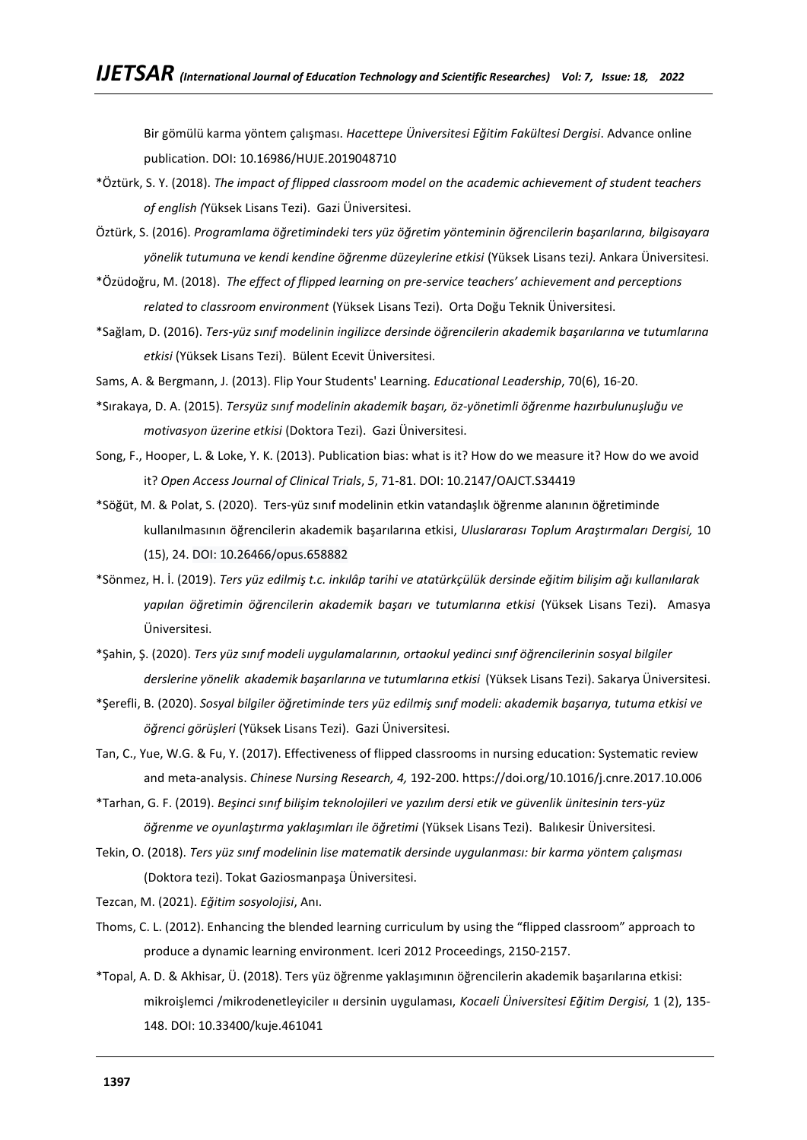Bir gömülü karma yöntem çalışması. *Hacettepe Üniversitesi Eğitim Fakültesi Dergisi*. Advance online publication. DOI: 10.16986/HUJE.2019048710

- \*Öztürk, S. Y. (2018). *The impact of flipped classroom model on the academic achievement of student teachers of english (*Yüksek Lisans Tezi). Gazi Üniversitesi.
- Öztürk, S. (2016). *Programlama öğretimindeki ters yüz öğretim yönteminin öğrencilerin başarılarına, bilgisayara yönelik tutumuna ve kendi kendine öğrenme düzeylerine etkisi* (Yüksek Lisans tezi*).* Ankara Üniversitesi.
- \*Özüdoğru, M. (2018). *The effect of flipped learning on pre-service teachers' achievement and perceptions related to classroom environment* (Yüksek Lisans Tezi). Orta Doğu Teknik Üniversitesi.
- \*Sağlam, D. (2016). *Ters-yüz sınıf modelinin ingilizce dersinde öğrencilerin akademik başarılarına ve tutumlarına etkisi* (Yüksek Lisans Tezi). Bülent Ecevit Üniversitesi.
- Sams, A. & Bergmann, J. (2013). Flip Your Students' Learning*. Educational Leadership*, 70(6), 16-20.
- \*Sırakaya, D. A. (2015). *Tersyüz sınıf modelinin akademik başarı, öz-yönetimli öğrenme hazırbulunuşluğu ve motivasyon üzerine etkisi* (Doktora Tezi). Gazi Üniversitesi.
- Song, F., Hooper, L. & Loke, Y. K. (2013). Publication bias: what is it? How do we measure it? How do we avoid it? *Open Access Journal of Clinical Trials*, *5*, 71-81. DOI: [10.2147/OAJCT.S34419](http://dx.doi.org/10.2147/OAJCT.S34419)
- \*Söğüt, M. & Polat, S. (2020). Ters-yüz sınıf modelinin etkin vatandaşlık öğrenme alanının öğretiminde kullanılmasının öğrencilerin akademik başarılarına etkisi, *Uluslararası Toplum Araştırmaları Dergisi,* 10 (15), 24. DOI: 10.26466/opus.658882
- \*Sönmez, H. İ. (2019). *Ters yüz edilmiş t.c. inkılâp tarihi ve atatürkçülük dersinde eğitim bilişim ağı kullanılarak yapılan öğretimin öğrencilerin akademik başarı ve tutumlarına etkisi* (Yüksek Lisans Tezi). Amasya Üniversitesi.
- \*Şahin, Ş. (2020). *Ters yüz sınıf modeli uygulamalarının, ortaokul yedinci sınıf öğrencilerinin sosyal bilgiler derslerine yönelik akademik başarılarına ve tutumlarına etkisi* (Yüksek Lisans Tezi). Sakarya Üniversitesi.
- \*Şerefli, B. (2020). *Sosyal bilgiler öğretiminde ters yüz edilmiş sınıf modeli: akademik başarıya, tutuma etkisi ve öğrenci görüşleri* (Yüksek Lisans Tezi). Gazi Üniversitesi.
- Tan, C., Yue, W.G. & Fu, Y. (2017). Effectiveness of flipped classrooms in nursing education: Systematic review and meta-analysis. *Chinese Nursing Research, 4,* 192-200.<https://doi.org/10.1016/j.cnre.2017.10.006>
- \*Tarhan, G. F. (2019). *Beşinci sınıf bilişim teknolojileri ve yazılım dersi etik ve güvenlik ünitesinin ters-yüz öğrenme ve oyunlaştırma yaklaşımları ile öğretimi* (Yüksek Lisans Tezi). Balıkesir Üniversitesi.
- Tekin, O. (2018). *Ters yüz sınıf modelinin lise matematik dersinde uygulanması: bir karma yöntem çalışması* (Doktora tezi). Tokat Gaziosmanpaşa Üniversitesi.

Tezcan, M. (2021). *Eğitim sosyolojisi*, Anı.

- Thoms, C. L. (2012). Enhancing the blended learning curriculum by using the "flipped classroom" approach to produce a dynamic learning environment. Iceri 2012 Proceedings, 2150-2157.
- \*Topal, A. D. & Akhisar, Ü. (2018). Ters yüz öğrenme yaklaşımının öğrencilerin akademik başarılarına etkisi: mikroişlemci /mikrodenetleyiciler ıı dersinin uygulaması, *Kocaeli Üniversitesi Eğitim Dergisi,* 1 (2), 135- 148. DOI: 10.33400/kuje.461041